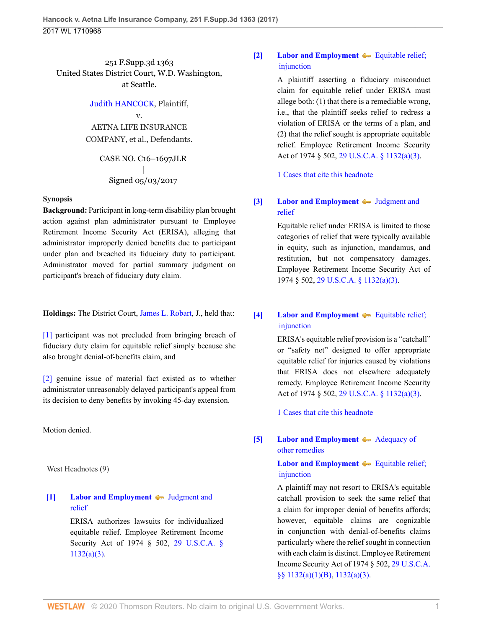251 F.Supp.3d 1363 United States District Court, W.D. Washington, at Seattle.

#### [Judith HANCOCK](http://www.westlaw.com/Search/Results.html?query=advanced%3a+OAID(5023362539)&saveJuris=False&contentType=BUSINESS-INVESTIGATOR&startIndex=1&contextData=(sc.Default)&categoryPageUrl=Home%2fCompanyInvestigator&originationContext=document&vr=3.0&rs=cblt1.0&transitionType=DocumentItem), Plaintiff,

v. AETNA LIFE INSURANCE COMPANY, et al., Defendants.

> CASE NO. C16–1697JLR | Signed 05/03/2017

#### **Synopsis**

**Background:** Participant in long-term disability plan brought action against plan administrator pursuant to Employee Retirement Income Security Act (ERISA), alleging that administrator improperly denied benefits due to participant under plan and breached its fiduciary duty to participant. Administrator moved for partial summary judgment on participant's breach of fiduciary duty claim.

**Holdings:** The District Court, [James L. Robart,](http://www.westlaw.com/Link/Document/FullText?findType=h&pubNum=176284&cite=0181380101&originatingDoc=I755ce07030be11e79de0d9b9354e8e59&refType=RQ&originationContext=document&vr=3.0&rs=cblt1.0&transitionType=DocumentItem&contextData=(sc.UserEnteredCitation)) J., held that:

[\[1\]](#page-1-0) participant was not precluded from bringing breach of fiduciary duty claim for equitable relief simply because she also brought denial-of-benefits claim, and

[\[2\]](#page-1-1) genuine issue of material fact existed as to whether administrator unreasonably delayed participant's appeal from its decision to deny benefits by invoking 45-day extension.

Motion denied.

West Headnotes (9)

# <span id="page-0-0"></span>**[\[1\]](#page-4-0) [Labor and Employment](http://www.westlaw.com/Browse/Home/KeyNumber/231H/View.html?docGuid=I755ce07030be11e79de0d9b9354e8e59&originationContext=document&vr=3.0&rs=cblt1.0&transitionType=DocumentItem&contextData=(sc.UserEnteredCitation))** [Judgment and](http://www.westlaw.com/Browse/Home/KeyNumber/231Hk639/View.html?docGuid=I755ce07030be11e79de0d9b9354e8e59&originationContext=document&vr=3.0&rs=cblt1.0&transitionType=DocumentItem&contextData=(sc.UserEnteredCitation)) [relief](http://www.westlaw.com/Browse/Home/KeyNumber/231Hk639/View.html?docGuid=I755ce07030be11e79de0d9b9354e8e59&originationContext=document&vr=3.0&rs=cblt1.0&transitionType=DocumentItem&contextData=(sc.UserEnteredCitation))

ERISA authorizes lawsuits for individualized equitable relief. Employee Retirement Income Security Act of 1974 § 502, [29 U.S.C.A. §](http://www.westlaw.com/Link/Document/FullText?findType=L&pubNum=1000546&cite=29USCAS1132&originatingDoc=I755ce07030be11e79de0d9b9354e8e59&refType=SP&originationContext=document&vr=3.0&rs=cblt1.0&transitionType=DocumentItem&contextData=(sc.UserEnteredCitation)#co_pp_28cc0000ccca6) [1132\(a\)\(3\).](http://www.westlaw.com/Link/Document/FullText?findType=L&pubNum=1000546&cite=29USCAS1132&originatingDoc=I755ce07030be11e79de0d9b9354e8e59&refType=SP&originationContext=document&vr=3.0&rs=cblt1.0&transitionType=DocumentItem&contextData=(sc.UserEnteredCitation)#co_pp_28cc0000ccca6)

# <span id="page-0-1"></span>**[\[2\]](#page-4-1) [Labor and Employment](http://www.westlaw.com/Browse/Home/KeyNumber/231H/View.html?docGuid=I755ce07030be11e79de0d9b9354e8e59&originationContext=document&vr=3.0&rs=cblt1.0&transitionType=DocumentItem&contextData=(sc.UserEnteredCitation))**  $\blacktriangleright$  Equitable relief; [injunction](http://www.westlaw.com/Browse/Home/KeyNumber/231Hk660/View.html?docGuid=I755ce07030be11e79de0d9b9354e8e59&originationContext=document&vr=3.0&rs=cblt1.0&transitionType=DocumentItem&contextData=(sc.UserEnteredCitation))

A plaintiff asserting a fiduciary misconduct claim for equitable relief under ERISA must allege both: (1) that there is a remediable wrong, i.e., that the plaintiff seeks relief to redress a violation of ERISA or the terms of a plan, and (2) that the relief sought is appropriate equitable relief. Employee Retirement Income Security Act of 1974 § 502, [29 U.S.C.A. § 1132\(a\)\(3\).](http://www.westlaw.com/Link/Document/FullText?findType=L&pubNum=1000546&cite=29USCAS1132&originatingDoc=I755ce07030be11e79de0d9b9354e8e59&refType=SP&originationContext=document&vr=3.0&rs=cblt1.0&transitionType=DocumentItem&contextData=(sc.UserEnteredCitation)#co_pp_28cc0000ccca6)

[1 Cases that cite this headnote](http://www.westlaw.com/Link/RelatedInformation/DocHeadnoteLink?docGuid=I755ce07030be11e79de0d9b9354e8e59&headnoteId=204155936600220200716171205&originationContext=document&vr=3.0&rs=cblt1.0&transitionType=CitingReferences&contextData=(sc.UserEnteredCitation))

# <span id="page-0-2"></span>**[\[3\]](#page-4-2) [Labor and Employment](http://www.westlaw.com/Browse/Home/KeyNumber/231H/View.html?docGuid=I755ce07030be11e79de0d9b9354e8e59&originationContext=document&vr=3.0&rs=cblt1.0&transitionType=DocumentItem&contextData=(sc.UserEnteredCitation))**  $\blacklozenge$  [Judgment and](http://www.westlaw.com/Browse/Home/KeyNumber/231Hk639/View.html?docGuid=I755ce07030be11e79de0d9b9354e8e59&originationContext=document&vr=3.0&rs=cblt1.0&transitionType=DocumentItem&contextData=(sc.UserEnteredCitation)) [relief](http://www.westlaw.com/Browse/Home/KeyNumber/231Hk639/View.html?docGuid=I755ce07030be11e79de0d9b9354e8e59&originationContext=document&vr=3.0&rs=cblt1.0&transitionType=DocumentItem&contextData=(sc.UserEnteredCitation))

Equitable relief under ERISA is limited to those categories of relief that were typically available in equity, such as injunction, mandamus, and restitution, but not compensatory damages. Employee Retirement Income Security Act of 1974 § 502, [29 U.S.C.A. § 1132\(a\)\(3\)](http://www.westlaw.com/Link/Document/FullText?findType=L&pubNum=1000546&cite=29USCAS1132&originatingDoc=I755ce07030be11e79de0d9b9354e8e59&refType=SP&originationContext=document&vr=3.0&rs=cblt1.0&transitionType=DocumentItem&contextData=(sc.UserEnteredCitation)#co_pp_28cc0000ccca6).

# <span id="page-0-3"></span>**[\[4\]](#page-4-3) [Labor and Employment](http://www.westlaw.com/Browse/Home/KeyNumber/231H/View.html?docGuid=I755ce07030be11e79de0d9b9354e8e59&originationContext=document&vr=3.0&rs=cblt1.0&transitionType=DocumentItem&contextData=(sc.UserEnteredCitation))**  $\blacktriangleright$  Equitable relief; [injunction](http://www.westlaw.com/Browse/Home/KeyNumber/231Hk660/View.html?docGuid=I755ce07030be11e79de0d9b9354e8e59&originationContext=document&vr=3.0&rs=cblt1.0&transitionType=DocumentItem&contextData=(sc.UserEnteredCitation))

ERISA's equitable relief provision is a "catchall" or "safety net" designed to offer appropriate equitable relief for injuries caused by violations that ERISA does not elsewhere adequately remedy. Employee Retirement Income Security Act of 1974 § 502, [29 U.S.C.A. § 1132\(a\)\(3\).](http://www.westlaw.com/Link/Document/FullText?findType=L&pubNum=1000546&cite=29USCAS1132&originatingDoc=I755ce07030be11e79de0d9b9354e8e59&refType=SP&originationContext=document&vr=3.0&rs=cblt1.0&transitionType=DocumentItem&contextData=(sc.UserEnteredCitation)#co_pp_28cc0000ccca6)

[1 Cases that cite this headnote](http://www.westlaw.com/Link/RelatedInformation/DocHeadnoteLink?docGuid=I755ce07030be11e79de0d9b9354e8e59&headnoteId=204155936600420200716171205&originationContext=document&vr=3.0&rs=cblt1.0&transitionType=CitingReferences&contextData=(sc.UserEnteredCitation))

# <span id="page-0-4"></span>**[\[5\]](#page-4-4) [Labor and Employment](http://www.westlaw.com/Browse/Home/KeyNumber/231H/View.html?docGuid=I755ce07030be11e79de0d9b9354e8e59&originationContext=document&vr=3.0&rs=cblt1.0&transitionType=DocumentItem&contextData=(sc.UserEnteredCitation))**  $\blacktriangleright$  [Adequacy of](http://www.westlaw.com/Browse/Home/KeyNumber/231Hk644/View.html?docGuid=I755ce07030be11e79de0d9b9354e8e59&originationContext=document&vr=3.0&rs=cblt1.0&transitionType=DocumentItem&contextData=(sc.UserEnteredCitation)) [other remedies](http://www.westlaw.com/Browse/Home/KeyNumber/231Hk644/View.html?docGuid=I755ce07030be11e79de0d9b9354e8e59&originationContext=document&vr=3.0&rs=cblt1.0&transitionType=DocumentItem&contextData=(sc.UserEnteredCitation))

# **[Labor and Employment](http://www.westlaw.com/Browse/Home/KeyNumber/231H/View.html?docGuid=I755ce07030be11e79de0d9b9354e8e59&originationContext=document&vr=3.0&rs=cblt1.0&transitionType=DocumentItem&contextData=(sc.UserEnteredCitation))**  $\blacklozenge$  Equitable relief; [injunction](http://www.westlaw.com/Browse/Home/KeyNumber/231Hk660/View.html?docGuid=I755ce07030be11e79de0d9b9354e8e59&originationContext=document&vr=3.0&rs=cblt1.0&transitionType=DocumentItem&contextData=(sc.UserEnteredCitation))

A plaintiff may not resort to ERISA's equitable catchall provision to seek the same relief that a claim for improper denial of benefits affords; however, equitable claims are cognizable in conjunction with denial-of-benefits claims particularly where the relief sought in connection with each claim is distinct. Employee Retirement Income Security Act of 1974 § 502, [29 U.S.C.A.](http://www.westlaw.com/Link/Document/FullText?findType=L&pubNum=1000546&cite=29USCAS1132&originatingDoc=I755ce07030be11e79de0d9b9354e8e59&refType=SP&originationContext=document&vr=3.0&rs=cblt1.0&transitionType=DocumentItem&contextData=(sc.UserEnteredCitation)#co_pp_50660000823d1) [§§ 1132\(a\)\(1\)\(B\),](http://www.westlaw.com/Link/Document/FullText?findType=L&pubNum=1000546&cite=29USCAS1132&originatingDoc=I755ce07030be11e79de0d9b9354e8e59&refType=SP&originationContext=document&vr=3.0&rs=cblt1.0&transitionType=DocumentItem&contextData=(sc.UserEnteredCitation)#co_pp_50660000823d1) [1132\(a\)\(3\)](http://www.westlaw.com/Link/Document/FullText?findType=L&pubNum=1000546&cite=29USCAS1132&originatingDoc=I755ce07030be11e79de0d9b9354e8e59&refType=SP&originationContext=document&vr=3.0&rs=cblt1.0&transitionType=DocumentItem&contextData=(sc.UserEnteredCitation)#co_pp_28cc0000ccca6).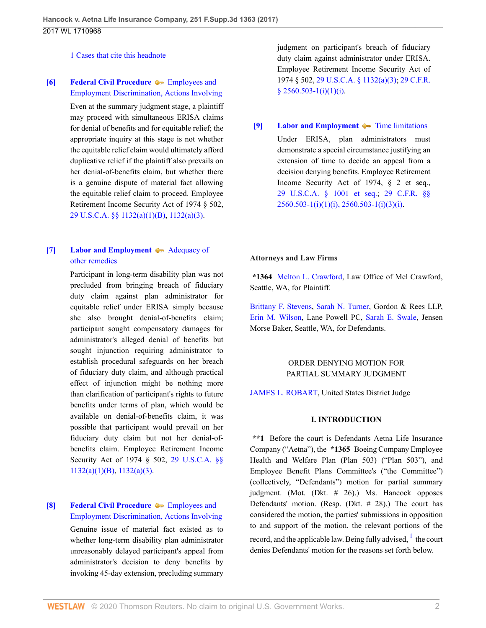[1 Cases that cite this headnote](http://www.westlaw.com/Link/RelatedInformation/DocHeadnoteLink?docGuid=I755ce07030be11e79de0d9b9354e8e59&headnoteId=204155936600520200716171205&originationContext=document&vr=3.0&rs=cblt1.0&transitionType=CitingReferences&contextData=(sc.UserEnteredCitation))

### <span id="page-1-2"></span>**[\[6\]](#page-5-0) [Federal Civil Procedure](http://www.westlaw.com/Browse/Home/KeyNumber/170A/View.html?docGuid=I755ce07030be11e79de0d9b9354e8e59&originationContext=document&vr=3.0&rs=cblt1.0&transitionType=DocumentItem&contextData=(sc.UserEnteredCitation))**  $\blacklozenge$  **[Employees and](http://www.westlaw.com/Browse/Home/KeyNumber/170Ak2497/View.html?docGuid=I755ce07030be11e79de0d9b9354e8e59&originationContext=document&vr=3.0&rs=cblt1.0&transitionType=DocumentItem&contextData=(sc.UserEnteredCitation))** [Employment Discrimination, Actions Involving](http://www.westlaw.com/Browse/Home/KeyNumber/170Ak2497/View.html?docGuid=I755ce07030be11e79de0d9b9354e8e59&originationContext=document&vr=3.0&rs=cblt1.0&transitionType=DocumentItem&contextData=(sc.UserEnteredCitation))

Even at the summary judgment stage, a plaintiff may proceed with simultaneous ERISA claims for denial of benefits and for equitable relief; the appropriate inquiry at this stage is not whether the equitable relief claim would ultimately afford duplicative relief if the plaintiff also prevails on her denial-of-benefits claim, but whether there is a genuine dispute of material fact allowing the equitable relief claim to proceed. Employee Retirement Income Security Act of 1974 § 502, [29 U.S.C.A. §§ 1132\(a\)\(1\)\(B\)](http://www.westlaw.com/Link/Document/FullText?findType=L&pubNum=1000546&cite=29USCAS1132&originatingDoc=I755ce07030be11e79de0d9b9354e8e59&refType=SP&originationContext=document&vr=3.0&rs=cblt1.0&transitionType=DocumentItem&contextData=(sc.UserEnteredCitation)#co_pp_50660000823d1), [1132\(a\)\(3\).](http://www.westlaw.com/Link/Document/FullText?findType=L&pubNum=1000546&cite=29USCAS1132&originatingDoc=I755ce07030be11e79de0d9b9354e8e59&refType=SP&originationContext=document&vr=3.0&rs=cblt1.0&transitionType=DocumentItem&contextData=(sc.UserEnteredCitation)#co_pp_28cc0000ccca6)

# <span id="page-1-0"></span>**[\[7\]](#page-5-1) [Labor and Employment](http://www.westlaw.com/Browse/Home/KeyNumber/231H/View.html?docGuid=I755ce07030be11e79de0d9b9354e8e59&originationContext=document&vr=3.0&rs=cblt1.0&transitionType=DocumentItem&contextData=(sc.UserEnteredCitation))**  $\blacklozenge$  **[Adequacy of](http://www.westlaw.com/Browse/Home/KeyNumber/231Hk644/View.html?docGuid=I755ce07030be11e79de0d9b9354e8e59&originationContext=document&vr=3.0&rs=cblt1.0&transitionType=DocumentItem&contextData=(sc.UserEnteredCitation))** [other remedies](http://www.westlaw.com/Browse/Home/KeyNumber/231Hk644/View.html?docGuid=I755ce07030be11e79de0d9b9354e8e59&originationContext=document&vr=3.0&rs=cblt1.0&transitionType=DocumentItem&contextData=(sc.UserEnteredCitation))

Participant in long-term disability plan was not precluded from bringing breach of fiduciary duty claim against plan administrator for equitable relief under ERISA simply because she also brought denial-of-benefits claim; participant sought compensatory damages for administrator's alleged denial of benefits but sought injunction requiring administrator to establish procedural safeguards on her breach of fiduciary duty claim, and although practical effect of injunction might be nothing more than clarification of participant's rights to future benefits under terms of plan, which would be available on denial-of-benefits claim, it was possible that participant would prevail on her fiduciary duty claim but not her denial-ofbenefits claim. Employee Retirement Income Security Act of 1974 § 502, [29 U.S.C.A. §§](http://www.westlaw.com/Link/Document/FullText?findType=L&pubNum=1000546&cite=29USCAS1132&originatingDoc=I755ce07030be11e79de0d9b9354e8e59&refType=SP&originationContext=document&vr=3.0&rs=cblt1.0&transitionType=DocumentItem&contextData=(sc.UserEnteredCitation)#co_pp_50660000823d1)  $1132(a)(1)(B)$ ,  $1132(a)(3)$ .

## <span id="page-1-1"></span>**[\[8\]](#page-7-0) [Federal Civil Procedure](http://www.westlaw.com/Browse/Home/KeyNumber/170A/View.html?docGuid=I755ce07030be11e79de0d9b9354e8e59&originationContext=document&vr=3.0&rs=cblt1.0&transitionType=DocumentItem&contextData=(sc.UserEnteredCitation))**  $\blacklozenge$  **Employees** and [Employment Discrimination, Actions Involving](http://www.westlaw.com/Browse/Home/KeyNumber/170Ak2497/View.html?docGuid=I755ce07030be11e79de0d9b9354e8e59&originationContext=document&vr=3.0&rs=cblt1.0&transitionType=DocumentItem&contextData=(sc.UserEnteredCitation))

Genuine issue of material fact existed as to whether long-term disability plan administrator unreasonably delayed participant's appeal from administrator's decision to deny benefits by invoking 45-day extension, precluding summary judgment on participant's breach of fiduciary duty claim against administrator under ERISA. Employee Retirement Income Security Act of 1974 § 502, [29 U.S.C.A. § 1132\(a\)\(3\);](http://www.westlaw.com/Link/Document/FullText?findType=L&pubNum=1000546&cite=29USCAS1132&originatingDoc=I755ce07030be11e79de0d9b9354e8e59&refType=SP&originationContext=document&vr=3.0&rs=cblt1.0&transitionType=DocumentItem&contextData=(sc.UserEnteredCitation)#co_pp_28cc0000ccca6) [29 C.F.R.](http://www.westlaw.com/Link/Document/FullText?findType=L&pubNum=1000547&cite=29CFRS2560.503-1&originatingDoc=I755ce07030be11e79de0d9b9354e8e59&refType=LQ&originationContext=document&vr=3.0&rs=cblt1.0&transitionType=DocumentItem&contextData=(sc.UserEnteredCitation)) [§ 2560.503-1\(i\)\(1\)\(i\)](http://www.westlaw.com/Link/Document/FullText?findType=L&pubNum=1000547&cite=29CFRS2560.503-1&originatingDoc=I755ce07030be11e79de0d9b9354e8e59&refType=LQ&originationContext=document&vr=3.0&rs=cblt1.0&transitionType=DocumentItem&contextData=(sc.UserEnteredCitation)).

# <span id="page-1-3"></span>**[\[9\]](#page-8-0) [Labor and Employment](http://www.westlaw.com/Browse/Home/KeyNumber/231H/View.html?docGuid=I755ce07030be11e79de0d9b9354e8e59&originationContext=document&vr=3.0&rs=cblt1.0&transitionType=DocumentItem&contextData=(sc.UserEnteredCitation))**  $\blacklozenge$  [Time limitations](http://www.westlaw.com/Browse/Home/KeyNumber/231Hk623/View.html?docGuid=I755ce07030be11e79de0d9b9354e8e59&originationContext=document&vr=3.0&rs=cblt1.0&transitionType=DocumentItem&contextData=(sc.UserEnteredCitation))

Under ERISA, plan administrators must demonstrate a special circumstance justifying an extension of time to decide an appeal from a decision denying benefits. Employee Retirement Income Security Act of 1974, § 2 et seq., [29 U.S.C.A. § 1001 et seq.](http://www.westlaw.com/Link/Document/FullText?findType=L&pubNum=1000546&cite=29USCAS1001&originatingDoc=I755ce07030be11e79de0d9b9354e8e59&refType=LQ&originationContext=document&vr=3.0&rs=cblt1.0&transitionType=DocumentItem&contextData=(sc.UserEnteredCitation)); [29 C.F.R. §§](http://www.westlaw.com/Link/Document/FullText?findType=L&pubNum=1000547&cite=29CFRS2560.503-1&originatingDoc=I755ce07030be11e79de0d9b9354e8e59&refType=LQ&originationContext=document&vr=3.0&rs=cblt1.0&transitionType=DocumentItem&contextData=(sc.UserEnteredCitation))  $2560.503 - 1(i)(1)(i)$ ,  $2560.503 - 1(i)(3)(i)$ .

# **Attorneys and Law Firms**

**\*1364** [Melton L. Crawford](http://www.westlaw.com/Link/Document/FullText?findType=h&pubNum=176284&cite=0168090501&originatingDoc=I755ce07030be11e79de0d9b9354e8e59&refType=RQ&originationContext=document&vr=3.0&rs=cblt1.0&transitionType=DocumentItem&contextData=(sc.UserEnteredCitation)), Law Office of Mel Crawford, Seattle, WA, for Plaintiff.

[Brittany F. Stevens,](http://www.westlaw.com/Link/Document/FullText?findType=h&pubNum=176284&cite=0430151901&originatingDoc=I755ce07030be11e79de0d9b9354e8e59&refType=RQ&originationContext=document&vr=3.0&rs=cblt1.0&transitionType=DocumentItem&contextData=(sc.UserEnteredCitation)) [Sarah N. Turner,](http://www.westlaw.com/Link/Document/FullText?findType=h&pubNum=176284&cite=0375466001&originatingDoc=I755ce07030be11e79de0d9b9354e8e59&refType=RQ&originationContext=document&vr=3.0&rs=cblt1.0&transitionType=DocumentItem&contextData=(sc.UserEnteredCitation)) Gordon & Rees LLP, [Erin M. Wilson](http://www.westlaw.com/Link/Document/FullText?findType=h&pubNum=176284&cite=0416577001&originatingDoc=I755ce07030be11e79de0d9b9354e8e59&refType=RQ&originationContext=document&vr=3.0&rs=cblt1.0&transitionType=DocumentItem&contextData=(sc.UserEnteredCitation)), Lane Powell PC, [Sarah E. Swale,](http://www.westlaw.com/Link/Document/FullText?findType=h&pubNum=176284&cite=0317817201&originatingDoc=I755ce07030be11e79de0d9b9354e8e59&refType=RQ&originationContext=document&vr=3.0&rs=cblt1.0&transitionType=DocumentItem&contextData=(sc.UserEnteredCitation)) Jensen Morse Baker, Seattle, WA, for Defendants.

# ORDER DENYING MOTION FOR PARTIAL SUMMARY JUDGMENT

[JAMES L. ROBART](http://www.westlaw.com/Link/Document/FullText?findType=h&pubNum=176284&cite=0181380101&originatingDoc=I755ce07030be11e79de0d9b9354e8e59&refType=RQ&originationContext=document&vr=3.0&rs=cblt1.0&transitionType=DocumentItem&contextData=(sc.UserEnteredCitation)), United States District Judge

#### <span id="page-1-4"></span>**I. INTRODUCTION**

**\*\*1** Before the court is Defendants Aetna Life Insurance Company ("Aetna"), the **\*1365** Boeing Company Employee Health and Welfare Plan (Plan 503) ("Plan 503"), and Employee Benefit Plans Committee's ("the Committee") (collectively, "Defendants") motion for partial summary judgment. (Mot. (Dkt. # 26).) Ms. Hancock opposes Defendants' motion. (Resp. (Dkt. # 28).) The court has considered the motion, the parties' submissions in opposition to and support of the motion, the relevant portions of the record, and the applicable law. Being fully advised, <sup>[1](#page-8-1)</sup> the court denies Defendants' motion for the reasons set forth below.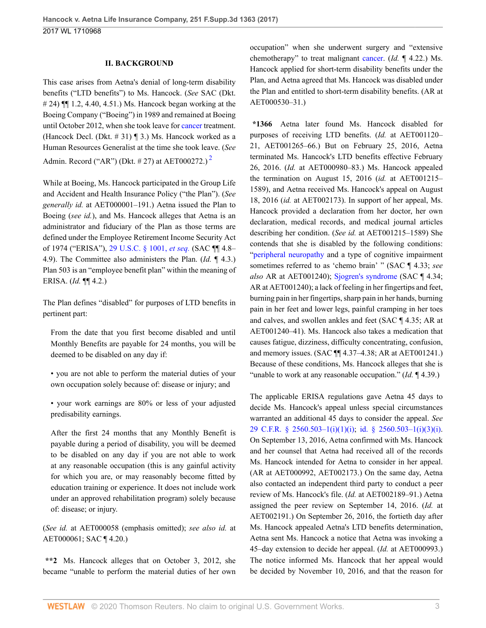### **II. BACKGROUND**

This case arises from Aetna's denial of long-term disability benefits ("LTD benefits") to Ms. Hancock. (*See* SAC (Dkt. # 24) ¶¶ 1.2, 4.40, 4.51.) Ms. Hancock began working at the Boeing Company ("Boeing") in 1989 and remained at Boeing until October 2012, when she took leave for [cancer](http://www.westlaw.com/Link/Document/FullText?entityType=disease&entityId=Iaf34f5c3475411db9765f9243f53508a&originationContext=document&transitionType=DocumentItem&contextData=(sc.Default)&vr=3.0&rs=cblt1.0) treatment. (Hancock Decl. (Dkt.  $\#$  31) ¶ 3.) Ms. Hancock worked as a Human Resources Generalist at the time she took leave. (*See* Admin. Record ("AR") (Dkt. # [2](#page-8-2)7) at AET000272.)<sup>2</sup>

While at Boeing, Ms. Hancock participated in the Group Life and Accident and Health Insurance Policy ("the Plan"). (*See generally id.* at AET000001–191.) Aetna issued the Plan to Boeing (*see id.*), and Ms. Hancock alleges that Aetna is an administrator and fiduciary of the Plan as those terms are defined under the Employee Retirement Income Security Act of 1974 ("ERISA"), [29 U.S.C. § 1001,](http://www.westlaw.com/Link/Document/FullText?findType=L&pubNum=1000546&cite=29USCAS1001&originatingDoc=I755ce07030be11e79de0d9b9354e8e59&refType=LQ&originationContext=document&vr=3.0&rs=cblt1.0&transitionType=DocumentItem&contextData=(sc.UserEnteredCitation)) *et seq.* (SAC ¶¶ 4.8– 4.9). The Committee also administers the Plan. (*Id.* ¶ 4.3.) Plan 503 is an "employee benefit plan" within the meaning of ERISA. (*Id.* ¶¶ 4.2.)

The Plan defines "disabled" for purposes of LTD benefits in pertinent part:

From the date that you first become disabled and until Monthly Benefits are payable for 24 months, you will be deemed to be disabled on any day if:

• you are not able to perform the material duties of your own occupation solely because of: disease or injury; and

• your work earnings are 80% or less of your adjusted predisability earnings.

After the first 24 months that any Monthly Benefit is payable during a period of disability, you will be deemed to be disabled on any day if you are not able to work at any reasonable occupation (this is any gainful activity for which you are, or may reasonably become fitted by education training or experience. It does not include work under an approved rehabilitation program) solely because of: disease; or injury.

(*See id.* at AET000058 (emphasis omitted); *see also id.* at AET000061; SAC ¶ 4.20.)

**\*\*2** Ms. Hancock alleges that on October 3, 2012, she became "unable to perform the material duties of her own occupation" when she underwent surgery and "extensive chemotherapy" to treat malignant [cancer.](http://www.westlaw.com/Link/Document/FullText?entityType=disease&entityId=Iaf34f5c3475411db9765f9243f53508a&originationContext=document&transitionType=DocumentItem&contextData=(sc.Default)&vr=3.0&rs=cblt1.0) (*Id.* ¶ 4.22.) Ms. Hancock applied for short-term disability benefits under the Plan, and Aetna agreed that Ms. Hancock was disabled under the Plan and entitled to short-term disability benefits. (AR at AET000530–31.)

<span id="page-2-0"></span>**\*1366** Aetna later found Ms. Hancock disabled for purposes of receiving LTD benefits. (*Id.* at AET001120– 21, AET001265–66.) But on February 25, 2016, Aetna terminated Ms. Hancock's LTD benefits effective February 26, 2016. (*Id.* at AET000980–83.) Ms. Hancock appealed the termination on August 15, 2016 (*id.* at AET001215– 1589), and Aetna received Ms. Hancock's appeal on August 18, 2016 (*id.* at AET002173). In support of her appeal, Ms. Hancock provided a declaration from her doctor, her own declaration, medical records, and medical journal articles describing her condition. (*See id.* at AET001215–1589) She contends that she is disabled by the following conditions: ["peripheral neuropathy](http://www.westlaw.com/Link/Document/FullText?entityType=disease&entityId=Ic1b08e98475411db9765f9243f53508a&originationContext=document&transitionType=DocumentItem&contextData=(sc.Default)&vr=3.0&rs=cblt1.0) and a type of cognitive impairment sometimes referred to as 'chemo brain' " (SAC ¶ 4.33; *see also* AR at AET001240); [Sjogren's syndrome](http://www.westlaw.com/Link/Document/FullText?entityType=disease&entityId=Ic6c70c06475411db9765f9243f53508a&originationContext=document&transitionType=DocumentItem&contextData=(sc.Default)&vr=3.0&rs=cblt1.0) (SAC ¶ 4.34; AR at AET001240); a lack of feeling in her fingertips and feet, burning pain in her fingertips, sharp pain in her hands, burning pain in her feet and lower legs, painful cramping in her toes and calves, and swollen ankles and feet (SAC ¶ 4.35; AR at AET001240–41). Ms. Hancock also takes a medication that causes fatigue, dizziness, difficulty concentrating, confusion, and memory issues. (SAC ¶¶ 4.37–4.38; AR at AET001241.) Because of these conditions, Ms. Hancock alleges that she is "unable to work at any reasonable occupation." (*Id.* 14.39.)

The applicable ERISA regulations gave Aetna 45 days to decide Ms. Hancock's appeal unless special circumstances warranted an additional 45 days to consider the appeal. *See* [29 C.F.R. § 2560.503–1\(i\)\(1\)\(i\);](http://www.westlaw.com/Link/Document/FullText?findType=L&pubNum=1000547&cite=29CFRS2560.503-1&originatingDoc=I755ce07030be11e79de0d9b9354e8e59&refType=RB&originationContext=document&vr=3.0&rs=cblt1.0&transitionType=DocumentItem&contextData=(sc.UserEnteredCitation)#co_pp_bcfd00009f4b2) [id. § 2560.503–1\(i\)\(3\)\(i\)](http://www.westlaw.com/Link/Document/FullText?findType=L&pubNum=1000547&cite=29CFRS2560.503-1&originatingDoc=I755ce07030be11e79de0d9b9354e8e59&refType=RB&originationContext=document&vr=3.0&rs=cblt1.0&transitionType=DocumentItem&contextData=(sc.UserEnteredCitation)#co_pp_d450000087f37). On September 13, 2016, Aetna confirmed with Ms. Hancock and her counsel that Aetna had received all of the records Ms. Hancock intended for Aetna to consider in her appeal. (AR at AET000992, AET002173.) On the same day, Aetna also contacted an independent third party to conduct a peer review of Ms. Hancock's file. (*Id.* at AET002189–91.) Aetna assigned the peer review on September 14, 2016. (*Id.* at AET002191.) On September 26, 2016, the fortieth day after Ms. Hancock appealed Aetna's LTD benefits determination, Aetna sent Ms. Hancock a notice that Aetna was invoking a 45–day extension to decide her appeal. (*Id.* at AET000993.) The notice informed Ms. Hancock that her appeal would be decided by November 10, 2016, and that the reason for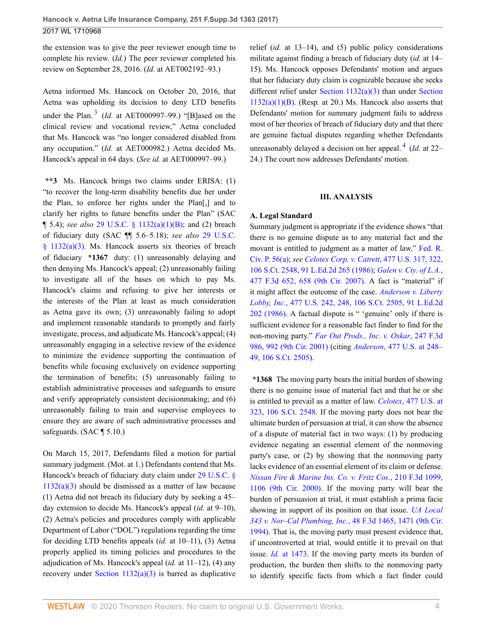the extension was to give the peer reviewer enough time to complete his review. (*Id.*) The peer reviewer completed his review on September 28, 2016. (*Id.* at AET002192–93.)

<span id="page-3-0"></span>Aetna informed Ms. Hancock on October 20, 2016, that Aetna was upholding its decision to deny LTD benefits under the Plan. [3](#page-9-0) (*Id.* at AET000997–99.) "[B]ased on the clinical review and vocational review," Aetna concluded that Ms. Hancock was "no longer considered disabled from any occupation." (*Id.* at AET000982.) Aetna decided Ms. Hancock's appeal in 64 days. (*See id.* at AET000997–99.)

**\*\*3** Ms. Hancock brings two claims under ERISA: (1) "to recover the long-term disability benefits due her under the Plan, to enforce her rights under the Plan[,] and to clarify her rights to future benefits under the Plan" (SAC ¶ 5.4); *see also* [29 U.S.C. § 1132\(a\)\(1\)\(B\)](http://www.westlaw.com/Link/Document/FullText?findType=L&pubNum=1000546&cite=29USCAS1132&originatingDoc=I755ce07030be11e79de0d9b9354e8e59&refType=RB&originationContext=document&vr=3.0&rs=cblt1.0&transitionType=DocumentItem&contextData=(sc.UserEnteredCitation)#co_pp_50660000823d1); and (2) breach of fiduciary duty (SAC ¶¶ 5.6–5.18); *see also* [29 U.S.C.](http://www.westlaw.com/Link/Document/FullText?findType=L&pubNum=1000546&cite=29USCAS1132&originatingDoc=I755ce07030be11e79de0d9b9354e8e59&refType=RB&originationContext=document&vr=3.0&rs=cblt1.0&transitionType=DocumentItem&contextData=(sc.UserEnteredCitation)#co_pp_28cc0000ccca6) [§ 1132\(a\)\(3\)](http://www.westlaw.com/Link/Document/FullText?findType=L&pubNum=1000546&cite=29USCAS1132&originatingDoc=I755ce07030be11e79de0d9b9354e8e59&refType=RB&originationContext=document&vr=3.0&rs=cblt1.0&transitionType=DocumentItem&contextData=(sc.UserEnteredCitation)#co_pp_28cc0000ccca6). Ms. Hancock asserts six theories of breach of fiduciary **\*1367** duty: (1) unreasonably delaying and then denying Ms. Hancock's appeal; (2) unreasonably failing to investigate all of the bases on which to pay Ms. Hancock's claims and refusing to give her interests or the interests of the Plan at least as much consideration as Aetna gave its own; (3) unreasonably failing to adopt and implement reasonable standards to promptly and fairly investigate, process, and adjudicate Ms. Hancock's appeal; (4) unreasonably engaging in a selective review of the evidence to minimize the evidence supporting the continuation of benefits while focusing exclusively on evidence supporting the termination of benefits; (5) unreasonably failing to establish administrative processes and safeguards to ensure and verify appropriately consistent decisionmaking; and (6) unreasonably failing to train and supervise employees to ensure they are aware of such administrative processes and safeguards. (SAC ¶ 5.10.)

On March 15, 2017, Defendants filed a motion for partial summary judgment. (Mot. at 1.) Defendants contend that Ms. Hancock's breach of fiduciary duty claim under [29 U.S.C. §](http://www.westlaw.com/Link/Document/FullText?findType=L&pubNum=1000546&cite=29USCAS1132&originatingDoc=I755ce07030be11e79de0d9b9354e8e59&refType=RB&originationContext=document&vr=3.0&rs=cblt1.0&transitionType=DocumentItem&contextData=(sc.UserEnteredCitation)#co_pp_28cc0000ccca6)  $1132(a)(3)$  should be dismissed as a matter of law because (1) Aetna did not breach its fiduciary duty by seeking a 45– day extension to decide Ms. Hancock's appeal (*id.* at 9–10), (2) Aetna's policies and procedures comply with applicable Department of Labor ("DOL") regulations regarding the time for deciding LTD benefits appeals (*id.* at 10–11), (3) Aetna properly applied its timing policies and procedures to the adjudication of Ms. Hancock's appeal (*id.* at 11–12), (4) any recovery under Section  $1132(a)(3)$  is barred as duplicative relief (*id.* at 13–14), and (5) public policy considerations militate against finding a breach of fiduciary duty (*id.* at 14– 15). Ms. Hancock opposes Defendants' motion and argues that her fiduciary duty claim is cognizable because she seeks different relief under [Section 1132\(a\)\(3\)](http://www.westlaw.com/Link/Document/FullText?findType=L&pubNum=1000546&cite=29USCAS1132&originatingDoc=I755ce07030be11e79de0d9b9354e8e59&refType=RB&originationContext=document&vr=3.0&rs=cblt1.0&transitionType=DocumentItem&contextData=(sc.UserEnteredCitation)#co_pp_28cc0000ccca6) than under [Section](http://www.westlaw.com/Link/Document/FullText?findType=L&pubNum=1000546&cite=29USCAS1132&originatingDoc=I755ce07030be11e79de0d9b9354e8e59&refType=RB&originationContext=document&vr=3.0&rs=cblt1.0&transitionType=DocumentItem&contextData=(sc.UserEnteredCitation)#co_pp_50660000823d1) [1132\(a\)\(1\)\(B\).](http://www.westlaw.com/Link/Document/FullText?findType=L&pubNum=1000546&cite=29USCAS1132&originatingDoc=I755ce07030be11e79de0d9b9354e8e59&refType=RB&originationContext=document&vr=3.0&rs=cblt1.0&transitionType=DocumentItem&contextData=(sc.UserEnteredCitation)#co_pp_50660000823d1) (Resp*.* at 20.) Ms. Hancock also asserts that Defendants' motion for summary judgment fails to address most of her theories of breach of fiduciary duty and that there are genuine factual disputes regarding whether Defendants unreasonably delayed a decision on her appeal. [4](#page-9-1) (*Id.* at 22– 24.) The court now addresses Defendants' motion.

#### <span id="page-3-1"></span>**III. ANALYSIS**

### **A. Legal Standard**

Summary judgment is appropriate if the evidence shows "that there is no genuine dispute as to any material fact and the movant is entitled to judgment as a matter of law." [Fed. R.](http://www.westlaw.com/Link/Document/FullText?findType=L&pubNum=1000600&cite=USFRCPR56&originatingDoc=I755ce07030be11e79de0d9b9354e8e59&refType=LQ&originationContext=document&vr=3.0&rs=cblt1.0&transitionType=DocumentItem&contextData=(sc.UserEnteredCitation)) [Civ. P. 56\(a\);](http://www.westlaw.com/Link/Document/FullText?findType=L&pubNum=1000600&cite=USFRCPR56&originatingDoc=I755ce07030be11e79de0d9b9354e8e59&refType=LQ&originationContext=document&vr=3.0&rs=cblt1.0&transitionType=DocumentItem&contextData=(sc.UserEnteredCitation)) *see [Celotex Corp. v. Catrett](http://www.westlaw.com/Link/Document/FullText?findType=Y&serNum=1986132677&pubNum=0000780&originatingDoc=I755ce07030be11e79de0d9b9354e8e59&refType=RP&fi=co_pp_sp_780_322&originationContext=document&vr=3.0&rs=cblt1.0&transitionType=DocumentItem&contextData=(sc.UserEnteredCitation)#co_pp_sp_780_322)*, 477 U.S. 317, 322, [106 S.Ct. 2548, 91 L.Ed.2d 265 \(1986\)](http://www.westlaw.com/Link/Document/FullText?findType=Y&serNum=1986132677&pubNum=0000780&originatingDoc=I755ce07030be11e79de0d9b9354e8e59&refType=RP&fi=co_pp_sp_780_322&originationContext=document&vr=3.0&rs=cblt1.0&transitionType=DocumentItem&contextData=(sc.UserEnteredCitation)#co_pp_sp_780_322); *[Galen v. Cty. of L.A.](http://www.westlaw.com/Link/Document/FullText?findType=Y&serNum=2011260204&pubNum=0000506&originatingDoc=I755ce07030be11e79de0d9b9354e8e59&refType=RP&fi=co_pp_sp_506_658&originationContext=document&vr=3.0&rs=cblt1.0&transitionType=DocumentItem&contextData=(sc.UserEnteredCitation)#co_pp_sp_506_658)*, [477 F.3d 652, 658 \(9th Cir. 2007\)](http://www.westlaw.com/Link/Document/FullText?findType=Y&serNum=2011260204&pubNum=0000506&originatingDoc=I755ce07030be11e79de0d9b9354e8e59&refType=RP&fi=co_pp_sp_506_658&originationContext=document&vr=3.0&rs=cblt1.0&transitionType=DocumentItem&contextData=(sc.UserEnteredCitation)#co_pp_sp_506_658). A fact is "material" if it might affect the outcome of the case. *[Anderson v. Liberty](http://www.westlaw.com/Link/Document/FullText?findType=Y&serNum=1986132674&pubNum=0000780&originatingDoc=I755ce07030be11e79de0d9b9354e8e59&refType=RP&fi=co_pp_sp_780_248&originationContext=document&vr=3.0&rs=cblt1.0&transitionType=DocumentItem&contextData=(sc.UserEnteredCitation)#co_pp_sp_780_248) Lobby, Inc.*[, 477 U.S. 242, 248, 106 S.Ct. 2505, 91 L.Ed.2d](http://www.westlaw.com/Link/Document/FullText?findType=Y&serNum=1986132674&pubNum=0000780&originatingDoc=I755ce07030be11e79de0d9b9354e8e59&refType=RP&fi=co_pp_sp_780_248&originationContext=document&vr=3.0&rs=cblt1.0&transitionType=DocumentItem&contextData=(sc.UserEnteredCitation)#co_pp_sp_780_248) [202 \(1986\).](http://www.westlaw.com/Link/Document/FullText?findType=Y&serNum=1986132674&pubNum=0000780&originatingDoc=I755ce07030be11e79de0d9b9354e8e59&refType=RP&fi=co_pp_sp_780_248&originationContext=document&vr=3.0&rs=cblt1.0&transitionType=DocumentItem&contextData=(sc.UserEnteredCitation)#co_pp_sp_780_248) A factual dispute is " 'genuine' only if there is sufficient evidence for a reasonable fact finder to find for the non-moving party." *[Far Out Prods., Inc. v. Oskar](http://www.westlaw.com/Link/Document/FullText?findType=Y&serNum=2001326244&pubNum=0000506&originatingDoc=I755ce07030be11e79de0d9b9354e8e59&refType=RP&fi=co_pp_sp_506_992&originationContext=document&vr=3.0&rs=cblt1.0&transitionType=DocumentItem&contextData=(sc.UserEnteredCitation)#co_pp_sp_506_992)*, 247 F.3d [986, 992 \(9th Cir. 2001\)](http://www.westlaw.com/Link/Document/FullText?findType=Y&serNum=2001326244&pubNum=0000506&originatingDoc=I755ce07030be11e79de0d9b9354e8e59&refType=RP&fi=co_pp_sp_506_992&originationContext=document&vr=3.0&rs=cblt1.0&transitionType=DocumentItem&contextData=(sc.UserEnteredCitation)#co_pp_sp_506_992) (citing *Anderson*[, 477 U.S. at 248–](http://www.westlaw.com/Link/Document/FullText?findType=Y&serNum=1986132674&pubNum=0000780&originatingDoc=I755ce07030be11e79de0d9b9354e8e59&refType=RP&fi=co_pp_sp_780_248&originationContext=document&vr=3.0&rs=cblt1.0&transitionType=DocumentItem&contextData=(sc.UserEnteredCitation)#co_pp_sp_780_248) [49, 106 S.Ct. 2505\)](http://www.westlaw.com/Link/Document/FullText?findType=Y&serNum=1986132674&pubNum=0000780&originatingDoc=I755ce07030be11e79de0d9b9354e8e59&refType=RP&fi=co_pp_sp_780_248&originationContext=document&vr=3.0&rs=cblt1.0&transitionType=DocumentItem&contextData=(sc.UserEnteredCitation)#co_pp_sp_780_248).

**\*1368** The moving party bears the initial burden of showing there is no genuine issue of material fact and that he or she is entitled to prevail as a matter of law. *Celotex*[, 477 U.S. at](http://www.westlaw.com/Link/Document/FullText?findType=Y&serNum=1986132677&pubNum=0000780&originatingDoc=I755ce07030be11e79de0d9b9354e8e59&refType=RP&fi=co_pp_sp_780_323&originationContext=document&vr=3.0&rs=cblt1.0&transitionType=DocumentItem&contextData=(sc.UserEnteredCitation)#co_pp_sp_780_323) [323, 106 S.Ct. 2548.](http://www.westlaw.com/Link/Document/FullText?findType=Y&serNum=1986132677&pubNum=0000780&originatingDoc=I755ce07030be11e79de0d9b9354e8e59&refType=RP&fi=co_pp_sp_780_323&originationContext=document&vr=3.0&rs=cblt1.0&transitionType=DocumentItem&contextData=(sc.UserEnteredCitation)#co_pp_sp_780_323) If the moving party does not bear the ultimate burden of persuasion at trial, it can show the absence of a dispute of material fact in two ways: (1) by producing evidence negating an essential element of the nonmoving party's case, or (2) by showing that the nonmoving party lacks evidence of an essential element of its claim or defense. *[Nissan Fire & Marine Ins. Co. v. Fritz Cos.](http://www.westlaw.com/Link/Document/FullText?findType=Y&serNum=2000111545&pubNum=0000506&originatingDoc=I755ce07030be11e79de0d9b9354e8e59&refType=RP&fi=co_pp_sp_506_1106&originationContext=document&vr=3.0&rs=cblt1.0&transitionType=DocumentItem&contextData=(sc.UserEnteredCitation)#co_pp_sp_506_1106)*, 210 F.3d 1099, [1106 \(9th Cir. 2000\)](http://www.westlaw.com/Link/Document/FullText?findType=Y&serNum=2000111545&pubNum=0000506&originatingDoc=I755ce07030be11e79de0d9b9354e8e59&refType=RP&fi=co_pp_sp_506_1106&originationContext=document&vr=3.0&rs=cblt1.0&transitionType=DocumentItem&contextData=(sc.UserEnteredCitation)#co_pp_sp_506_1106). If the moving party will bear the burden of persuasion at trial, it must establish a prima facie showing in support of its position on that issue. *[UA Local](http://www.westlaw.com/Link/Document/FullText?findType=Y&serNum=1995055801&pubNum=0000506&originatingDoc=I755ce07030be11e79de0d9b9354e8e59&refType=RP&fi=co_pp_sp_506_1471&originationContext=document&vr=3.0&rs=cblt1.0&transitionType=DocumentItem&contextData=(sc.UserEnteredCitation)#co_pp_sp_506_1471) [343 v. Nor–Cal Plumbing, Inc.](http://www.westlaw.com/Link/Document/FullText?findType=Y&serNum=1995055801&pubNum=0000506&originatingDoc=I755ce07030be11e79de0d9b9354e8e59&refType=RP&fi=co_pp_sp_506_1471&originationContext=document&vr=3.0&rs=cblt1.0&transitionType=DocumentItem&contextData=(sc.UserEnteredCitation)#co_pp_sp_506_1471)*, 48 F.3d 1465, 1471 (9th Cir. [1994\)](http://www.westlaw.com/Link/Document/FullText?findType=Y&serNum=1995055801&pubNum=0000506&originatingDoc=I755ce07030be11e79de0d9b9354e8e59&refType=RP&fi=co_pp_sp_506_1471&originationContext=document&vr=3.0&rs=cblt1.0&transitionType=DocumentItem&contextData=(sc.UserEnteredCitation)#co_pp_sp_506_1471). That is, the moving party must present evidence that, if uncontroverted at trial, would entitle it to prevail on that issue. *Id.* [at 1473.](http://www.westlaw.com/Link/Document/FullText?findType=Y&serNum=1995055801&pubNum=0000506&originatingDoc=I755ce07030be11e79de0d9b9354e8e59&refType=RP&fi=co_pp_sp_506_1473&originationContext=document&vr=3.0&rs=cblt1.0&transitionType=DocumentItem&contextData=(sc.UserEnteredCitation)#co_pp_sp_506_1473) If the moving party meets its burden of production, the burden then shifts to the nonmoving party to identify specific facts from which a fact finder could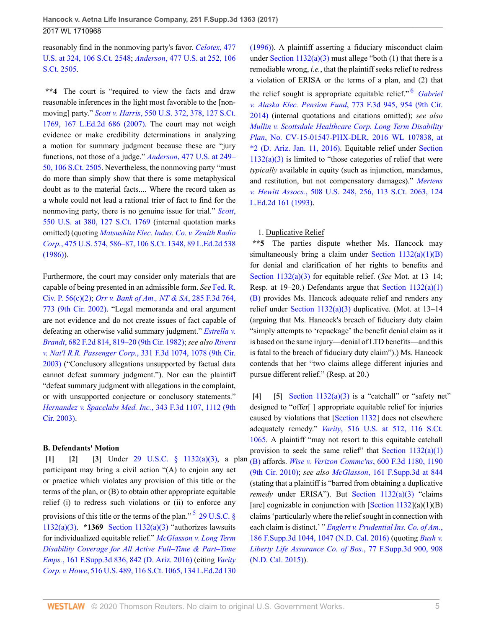reasonably find in the nonmoving party's favor. *[Celotex](http://www.westlaw.com/Link/Document/FullText?findType=Y&serNum=1986132677&pubNum=0000780&originatingDoc=I755ce07030be11e79de0d9b9354e8e59&refType=RP&fi=co_pp_sp_780_324&originationContext=document&vr=3.0&rs=cblt1.0&transitionType=DocumentItem&contextData=(sc.UserEnteredCitation)#co_pp_sp_780_324)*, 477 [U.S. at 324, 106 S.Ct. 2548;](http://www.westlaw.com/Link/Document/FullText?findType=Y&serNum=1986132677&pubNum=0000780&originatingDoc=I755ce07030be11e79de0d9b9354e8e59&refType=RP&fi=co_pp_sp_780_324&originationContext=document&vr=3.0&rs=cblt1.0&transitionType=DocumentItem&contextData=(sc.UserEnteredCitation)#co_pp_sp_780_324) *Anderson*[, 477 U.S. at 252, 106](http://www.westlaw.com/Link/Document/FullText?findType=Y&serNum=1986132674&pubNum=0000780&originatingDoc=I755ce07030be11e79de0d9b9354e8e59&refType=RP&fi=co_pp_sp_780_252&originationContext=document&vr=3.0&rs=cblt1.0&transitionType=DocumentItem&contextData=(sc.UserEnteredCitation)#co_pp_sp_780_252) [S.Ct. 2505](http://www.westlaw.com/Link/Document/FullText?findType=Y&serNum=1986132674&pubNum=0000780&originatingDoc=I755ce07030be11e79de0d9b9354e8e59&refType=RP&fi=co_pp_sp_780_252&originationContext=document&vr=3.0&rs=cblt1.0&transitionType=DocumentItem&contextData=(sc.UserEnteredCitation)#co_pp_sp_780_252).

**\*\*4** The court is "required to view the facts and draw reasonable inferences in the light most favorable to the [nonmoving] party." *Scott v. Harris*[, 550 U.S. 372, 378, 127 S.Ct.](http://www.westlaw.com/Link/Document/FullText?findType=Y&serNum=2012126147&pubNum=0000780&originatingDoc=I755ce07030be11e79de0d9b9354e8e59&refType=RP&fi=co_pp_sp_780_378&originationContext=document&vr=3.0&rs=cblt1.0&transitionType=DocumentItem&contextData=(sc.UserEnteredCitation)#co_pp_sp_780_378) [1769, 167 L.Ed.2d 686 \(2007\).](http://www.westlaw.com/Link/Document/FullText?findType=Y&serNum=2012126147&pubNum=0000780&originatingDoc=I755ce07030be11e79de0d9b9354e8e59&refType=RP&fi=co_pp_sp_780_378&originationContext=document&vr=3.0&rs=cblt1.0&transitionType=DocumentItem&contextData=(sc.UserEnteredCitation)#co_pp_sp_780_378) The court may not weigh evidence or make credibility determinations in analyzing a motion for summary judgment because these are "jury functions, not those of a judge." *Anderson*[, 477 U.S. at 249–](http://www.westlaw.com/Link/Document/FullText?findType=Y&serNum=1986132674&pubNum=0000780&originatingDoc=I755ce07030be11e79de0d9b9354e8e59&refType=RP&fi=co_pp_sp_780_249&originationContext=document&vr=3.0&rs=cblt1.0&transitionType=DocumentItem&contextData=(sc.UserEnteredCitation)#co_pp_sp_780_249) [50, 106 S.Ct. 2505.](http://www.westlaw.com/Link/Document/FullText?findType=Y&serNum=1986132674&pubNum=0000780&originatingDoc=I755ce07030be11e79de0d9b9354e8e59&refType=RP&fi=co_pp_sp_780_249&originationContext=document&vr=3.0&rs=cblt1.0&transitionType=DocumentItem&contextData=(sc.UserEnteredCitation)#co_pp_sp_780_249) Nevertheless, the nonmoving party "must do more than simply show that there is some metaphysical doubt as to the material facts.... Where the record taken as a whole could not lead a rational trier of fact to find for the nonmoving party, there is no genuine issue for trial." *[Scott](http://www.westlaw.com/Link/Document/FullText?findType=Y&serNum=2012126147&pubNum=0000780&originatingDoc=I755ce07030be11e79de0d9b9354e8e59&refType=RP&fi=co_pp_sp_780_380&originationContext=document&vr=3.0&rs=cblt1.0&transitionType=DocumentItem&contextData=(sc.UserEnteredCitation)#co_pp_sp_780_380)*, [550 U.S. at 380, 127 S.Ct. 1769](http://www.westlaw.com/Link/Document/FullText?findType=Y&serNum=2012126147&pubNum=0000780&originatingDoc=I755ce07030be11e79de0d9b9354e8e59&refType=RP&fi=co_pp_sp_780_380&originationContext=document&vr=3.0&rs=cblt1.0&transitionType=DocumentItem&contextData=(sc.UserEnteredCitation)#co_pp_sp_780_380) (internal quotation marks omitted) (quoting *[Matsushita Elec. Indus. Co. v. Zenith Radio](http://www.westlaw.com/Link/Document/FullText?findType=Y&serNum=1986115992&pubNum=0000780&originatingDoc=I755ce07030be11e79de0d9b9354e8e59&refType=RP&fi=co_pp_sp_780_586&originationContext=document&vr=3.0&rs=cblt1.0&transitionType=DocumentItem&contextData=(sc.UserEnteredCitation)#co_pp_sp_780_586) Corp.*[, 475 U.S. 574, 586–87, 106 S.Ct. 1348, 89 L.Ed.2d 538](http://www.westlaw.com/Link/Document/FullText?findType=Y&serNum=1986115992&pubNum=0000780&originatingDoc=I755ce07030be11e79de0d9b9354e8e59&refType=RP&fi=co_pp_sp_780_586&originationContext=document&vr=3.0&rs=cblt1.0&transitionType=DocumentItem&contextData=(sc.UserEnteredCitation)#co_pp_sp_780_586) [\(1986\)\)](http://www.westlaw.com/Link/Document/FullText?findType=Y&serNum=1986115992&pubNum=0000780&originatingDoc=I755ce07030be11e79de0d9b9354e8e59&refType=RP&fi=co_pp_sp_780_586&originationContext=document&vr=3.0&rs=cblt1.0&transitionType=DocumentItem&contextData=(sc.UserEnteredCitation)#co_pp_sp_780_586).

Furthermore, the court may consider only materials that are capable of being presented in an admissible form. *See* [Fed. R.](http://www.westlaw.com/Link/Document/FullText?findType=L&pubNum=1000600&cite=USFRCPR56&originatingDoc=I755ce07030be11e79de0d9b9354e8e59&refType=LQ&originationContext=document&vr=3.0&rs=cblt1.0&transitionType=DocumentItem&contextData=(sc.UserEnteredCitation)) [Civ. P. 56\(c\)\(2\)](http://www.westlaw.com/Link/Document/FullText?findType=L&pubNum=1000600&cite=USFRCPR56&originatingDoc=I755ce07030be11e79de0d9b9354e8e59&refType=LQ&originationContext=document&vr=3.0&rs=cblt1.0&transitionType=DocumentItem&contextData=(sc.UserEnteredCitation)); *[Orr v. Bank of Am., NT & SA](http://www.westlaw.com/Link/Document/FullText?findType=Y&serNum=2002226743&pubNum=0000506&originatingDoc=I755ce07030be11e79de0d9b9354e8e59&refType=RP&fi=co_pp_sp_506_773&originationContext=document&vr=3.0&rs=cblt1.0&transitionType=DocumentItem&contextData=(sc.UserEnteredCitation)#co_pp_sp_506_773)*, 285 F.3d 764, [773 \(9th Cir. 2002\)](http://www.westlaw.com/Link/Document/FullText?findType=Y&serNum=2002226743&pubNum=0000506&originatingDoc=I755ce07030be11e79de0d9b9354e8e59&refType=RP&fi=co_pp_sp_506_773&originationContext=document&vr=3.0&rs=cblt1.0&transitionType=DocumentItem&contextData=(sc.UserEnteredCitation)#co_pp_sp_506_773). "Legal memoranda and oral argument are not evidence and do not create issues of fact capable of defeating an otherwise valid summary judgment." *[Estrella v.](http://www.westlaw.com/Link/Document/FullText?findType=Y&serNum=1982134233&pubNum=0000350&originatingDoc=I755ce07030be11e79de0d9b9354e8e59&refType=RP&fi=co_pp_sp_350_819&originationContext=document&vr=3.0&rs=cblt1.0&transitionType=DocumentItem&contextData=(sc.UserEnteredCitation)#co_pp_sp_350_819) Brandt*[, 682 F.2d 814, 819–20 \(9th Cir. 1982\)](http://www.westlaw.com/Link/Document/FullText?findType=Y&serNum=1982134233&pubNum=0000350&originatingDoc=I755ce07030be11e79de0d9b9354e8e59&refType=RP&fi=co_pp_sp_350_819&originationContext=document&vr=3.0&rs=cblt1.0&transitionType=DocumentItem&contextData=(sc.UserEnteredCitation)#co_pp_sp_350_819); *see also [Rivera](http://www.westlaw.com/Link/Document/FullText?findType=Y&serNum=2003418320&pubNum=0000506&originatingDoc=I755ce07030be11e79de0d9b9354e8e59&refType=RP&fi=co_pp_sp_506_1078&originationContext=document&vr=3.0&rs=cblt1.0&transitionType=DocumentItem&contextData=(sc.UserEnteredCitation)#co_pp_sp_506_1078) v. Nat'l R.R. Passenger Corp.*[, 331 F.3d 1074, 1078 \(9th Cir.](http://www.westlaw.com/Link/Document/FullText?findType=Y&serNum=2003418320&pubNum=0000506&originatingDoc=I755ce07030be11e79de0d9b9354e8e59&refType=RP&fi=co_pp_sp_506_1078&originationContext=document&vr=3.0&rs=cblt1.0&transitionType=DocumentItem&contextData=(sc.UserEnteredCitation)#co_pp_sp_506_1078) [2003\)](http://www.westlaw.com/Link/Document/FullText?findType=Y&serNum=2003418320&pubNum=0000506&originatingDoc=I755ce07030be11e79de0d9b9354e8e59&refType=RP&fi=co_pp_sp_506_1078&originationContext=document&vr=3.0&rs=cblt1.0&transitionType=DocumentItem&contextData=(sc.UserEnteredCitation)#co_pp_sp_506_1078) ("Conclusory allegations unsupported by factual data cannot defeat summary judgment."). Nor can the plaintiff "defeat summary judgment with allegations in the complaint, or with unsupported conjecture or conclusory statements." *[Hernandez v. Spacelabs Med. Inc.](http://www.westlaw.com/Link/Document/FullText?findType=Y&serNum=2003620242&pubNum=0000506&originatingDoc=I755ce07030be11e79de0d9b9354e8e59&refType=RP&fi=co_pp_sp_506_1112&originationContext=document&vr=3.0&rs=cblt1.0&transitionType=DocumentItem&contextData=(sc.UserEnteredCitation)#co_pp_sp_506_1112)*, 343 F.3d 1107, 1112 (9th [Cir. 2003\).](http://www.westlaw.com/Link/Document/FullText?findType=Y&serNum=2003620242&pubNum=0000506&originatingDoc=I755ce07030be11e79de0d9b9354e8e59&refType=RP&fi=co_pp_sp_506_1112&originationContext=document&vr=3.0&rs=cblt1.0&transitionType=DocumentItem&contextData=(sc.UserEnteredCitation)#co_pp_sp_506_1112)

### **B. Defendants' Motion**

<span id="page-4-2"></span><span id="page-4-1"></span><span id="page-4-0"></span>**[\[1\]](#page-0-0) [\[2](#page-0-1)] [\[3\]](#page-0-2)** Under [29 U.S.C. § 1132\(a\)\(3\),](http://www.westlaw.com/Link/Document/FullText?findType=L&pubNum=1000546&cite=29USCAS1132&originatingDoc=I755ce07030be11e79de0d9b9354e8e59&refType=RB&originationContext=document&vr=3.0&rs=cblt1.0&transitionType=DocumentItem&contextData=(sc.UserEnteredCitation)#co_pp_28cc0000ccca6) a plan participant may bring a civil action "(A) to enjoin any act or practice which violates any provision of this title or the terms of the plan, or (B) to obtain other appropriate equitable relief (i) to redress such violations or (ii) to enforce any provisions of this title or the terms of the plan."<sup>[5](#page-9-2)</sup> [29 U.S.C. §](http://www.westlaw.com/Link/Document/FullText?findType=L&pubNum=1000546&cite=29USCAS1132&originatingDoc=I755ce07030be11e79de0d9b9354e8e59&refType=RB&originationContext=document&vr=3.0&rs=cblt1.0&transitionType=DocumentItem&contextData=(sc.UserEnteredCitation)#co_pp_28cc0000ccca6) [1132\(a\)\(3\)](http://www.westlaw.com/Link/Document/FullText?findType=L&pubNum=1000546&cite=29USCAS1132&originatingDoc=I755ce07030be11e79de0d9b9354e8e59&refType=RB&originationContext=document&vr=3.0&rs=cblt1.0&transitionType=DocumentItem&contextData=(sc.UserEnteredCitation)#co_pp_28cc0000ccca6). **\*1369** [Section 1132\(a\)\(3\)](http://www.westlaw.com/Link/Document/FullText?findType=L&pubNum=1000546&cite=29USCAS1132&originatingDoc=I755ce07030be11e79de0d9b9354e8e59&refType=RB&originationContext=document&vr=3.0&rs=cblt1.0&transitionType=DocumentItem&contextData=(sc.UserEnteredCitation)#co_pp_28cc0000ccca6) "authorizes lawsuits for individualized equitable relief." *[McGlasson v. Long Term](http://www.westlaw.com/Link/Document/FullText?findType=Y&serNum=2038269470&pubNum=0007903&originatingDoc=I755ce07030be11e79de0d9b9354e8e59&refType=RP&fi=co_pp_sp_7903_842&originationContext=document&vr=3.0&rs=cblt1.0&transitionType=DocumentItem&contextData=(sc.UserEnteredCitation)#co_pp_sp_7903_842) [Disability Coverage for All Active Full–Time & Part–Time](http://www.westlaw.com/Link/Document/FullText?findType=Y&serNum=2038269470&pubNum=0007903&originatingDoc=I755ce07030be11e79de0d9b9354e8e59&refType=RP&fi=co_pp_sp_7903_842&originationContext=document&vr=3.0&rs=cblt1.0&transitionType=DocumentItem&contextData=(sc.UserEnteredCitation)#co_pp_sp_7903_842) Emps.*[, 161 F.Supp.3d 836, 842 \(D. Ariz. 2016\)](http://www.westlaw.com/Link/Document/FullText?findType=Y&serNum=2038269470&pubNum=0007903&originatingDoc=I755ce07030be11e79de0d9b9354e8e59&refType=RP&fi=co_pp_sp_7903_842&originationContext=document&vr=3.0&rs=cblt1.0&transitionType=DocumentItem&contextData=(sc.UserEnteredCitation)#co_pp_sp_7903_842) (citing *[Varity](http://www.westlaw.com/Link/Document/FullText?findType=Y&serNum=1996072422&pubNum=0000708&originatingDoc=I755ce07030be11e79de0d9b9354e8e59&refType=RP&originationContext=document&vr=3.0&rs=cblt1.0&transitionType=DocumentItem&contextData=(sc.UserEnteredCitation)) Corp. v. Howe*[, 516 U.S. 489, 116 S.Ct. 1065, 134 L.Ed.2d 130](http://www.westlaw.com/Link/Document/FullText?findType=Y&serNum=1996072422&pubNum=0000708&originatingDoc=I755ce07030be11e79de0d9b9354e8e59&refType=RP&originationContext=document&vr=3.0&rs=cblt1.0&transitionType=DocumentItem&contextData=(sc.UserEnteredCitation))

<span id="page-4-6"></span>[\(1996\)\)](http://www.westlaw.com/Link/Document/FullText?findType=Y&serNum=1996072422&pubNum=0000708&originatingDoc=I755ce07030be11e79de0d9b9354e8e59&refType=RP&originationContext=document&vr=3.0&rs=cblt1.0&transitionType=DocumentItem&contextData=(sc.UserEnteredCitation)). A plaintiff asserting a fiduciary misconduct claim under Section  $1132(a)(3)$  must allege "both (1) that there is a remediable wrong, *i.e.*, that the plaintiff seeks relief to redress a violation of ERISA or the terms of a plan, and (2) that the relief sought is appropriate equitable relief." [6](#page-9-3) *[Gabriel](http://www.westlaw.com/Link/Document/FullText?findType=Y&serNum=2035059553&pubNum=0000506&originatingDoc=I755ce07030be11e79de0d9b9354e8e59&refType=RP&fi=co_pp_sp_506_954&originationContext=document&vr=3.0&rs=cblt1.0&transitionType=DocumentItem&contextData=(sc.UserEnteredCitation)#co_pp_sp_506_954) [v. Alaska Elec. Pension Fund](http://www.westlaw.com/Link/Document/FullText?findType=Y&serNum=2035059553&pubNum=0000506&originatingDoc=I755ce07030be11e79de0d9b9354e8e59&refType=RP&fi=co_pp_sp_506_954&originationContext=document&vr=3.0&rs=cblt1.0&transitionType=DocumentItem&contextData=(sc.UserEnteredCitation)#co_pp_sp_506_954)*, 773 F.3d 945, 954 (9th Cir. [2014\)](http://www.westlaw.com/Link/Document/FullText?findType=Y&serNum=2035059553&pubNum=0000506&originatingDoc=I755ce07030be11e79de0d9b9354e8e59&refType=RP&fi=co_pp_sp_506_954&originationContext=document&vr=3.0&rs=cblt1.0&transitionType=DocumentItem&contextData=(sc.UserEnteredCitation)#co_pp_sp_506_954) (internal quotations and citations omitted); *see also [Mullin v. Scottsdale Healthcare Corp. Long Term Disability](http://www.westlaw.com/Link/Document/FullText?findType=Y&serNum=2037974326&pubNum=0000999&originatingDoc=I755ce07030be11e79de0d9b9354e8e59&refType=RP&originationContext=document&vr=3.0&rs=cblt1.0&transitionType=DocumentItem&contextData=(sc.UserEnteredCitation)) Plan*[, No. CV-15-01547-PHX-DLR, 2016 WL 107838, at](http://www.westlaw.com/Link/Document/FullText?findType=Y&serNum=2037974326&pubNum=0000999&originatingDoc=I755ce07030be11e79de0d9b9354e8e59&refType=RP&originationContext=document&vr=3.0&rs=cblt1.0&transitionType=DocumentItem&contextData=(sc.UserEnteredCitation)) [\\*2 \(D. Ariz. Jan. 11, 2016\)](http://www.westlaw.com/Link/Document/FullText?findType=Y&serNum=2037974326&pubNum=0000999&originatingDoc=I755ce07030be11e79de0d9b9354e8e59&refType=RP&originationContext=document&vr=3.0&rs=cblt1.0&transitionType=DocumentItem&contextData=(sc.UserEnteredCitation)). Equitable relief under [Section](http://www.westlaw.com/Link/Document/FullText?findType=L&pubNum=1000546&cite=29USCAS1132&originatingDoc=I755ce07030be11e79de0d9b9354e8e59&refType=RB&originationContext=document&vr=3.0&rs=cblt1.0&transitionType=DocumentItem&contextData=(sc.UserEnteredCitation)#co_pp_28cc0000ccca6)  $1132(a)(3)$  is limited to "those categories of relief that were *typically* available in equity (such as injunction, mandamus, and restitution, but not compensatory damages)." *[Mertens](http://www.westlaw.com/Link/Document/FullText?findType=Y&serNum=1993113762&pubNum=0000780&originatingDoc=I755ce07030be11e79de0d9b9354e8e59&refType=RP&fi=co_pp_sp_780_256&originationContext=document&vr=3.0&rs=cblt1.0&transitionType=DocumentItem&contextData=(sc.UserEnteredCitation)#co_pp_sp_780_256) v. Hewitt Assocs.*[, 508 U.S. 248, 256, 113 S.Ct. 2063, 124](http://www.westlaw.com/Link/Document/FullText?findType=Y&serNum=1993113762&pubNum=0000780&originatingDoc=I755ce07030be11e79de0d9b9354e8e59&refType=RP&fi=co_pp_sp_780_256&originationContext=document&vr=3.0&rs=cblt1.0&transitionType=DocumentItem&contextData=(sc.UserEnteredCitation)#co_pp_sp_780_256) [L.Ed.2d 161 \(1993\).](http://www.westlaw.com/Link/Document/FullText?findType=Y&serNum=1993113762&pubNum=0000780&originatingDoc=I755ce07030be11e79de0d9b9354e8e59&refType=RP&fi=co_pp_sp_780_256&originationContext=document&vr=3.0&rs=cblt1.0&transitionType=DocumentItem&contextData=(sc.UserEnteredCitation)#co_pp_sp_780_256)

# 1. Duplicative Relief

**\*\*5** The parties dispute whether Ms. Hancock may simultaneously bring a claim under Section  $1132(a)(1)(B)$ for denial and clarification of her rights to benefits and [Section 1132\(a\)\(3\)](http://www.westlaw.com/Link/Document/FullText?findType=L&pubNum=1000546&cite=29USCAS1132&originatingDoc=I755ce07030be11e79de0d9b9354e8e59&refType=RB&originationContext=document&vr=3.0&rs=cblt1.0&transitionType=DocumentItem&contextData=(sc.UserEnteredCitation)#co_pp_28cc0000ccca6) for equitable relief. (*See* Mot. at 13–14; Resp. at 19–20.) Defendants argue that [Section 1132\(a\)\(1\)](http://www.westlaw.com/Link/Document/FullText?findType=L&pubNum=1000546&cite=29USCAS1132&originatingDoc=I755ce07030be11e79de0d9b9354e8e59&refType=RB&originationContext=document&vr=3.0&rs=cblt1.0&transitionType=DocumentItem&contextData=(sc.UserEnteredCitation)#co_pp_50660000823d1) [\(B\)](http://www.westlaw.com/Link/Document/FullText?findType=L&pubNum=1000546&cite=29USCAS1132&originatingDoc=I755ce07030be11e79de0d9b9354e8e59&refType=RB&originationContext=document&vr=3.0&rs=cblt1.0&transitionType=DocumentItem&contextData=(sc.UserEnteredCitation)#co_pp_50660000823d1) provides Ms. Hancock adequate relief and renders any relief under [Section 1132\(a\)\(3\)](http://www.westlaw.com/Link/Document/FullText?findType=L&pubNum=1000546&cite=29USCAS1132&originatingDoc=I755ce07030be11e79de0d9b9354e8e59&refType=RB&originationContext=document&vr=3.0&rs=cblt1.0&transitionType=DocumentItem&contextData=(sc.UserEnteredCitation)#co_pp_28cc0000ccca6) duplicative. (Mot. at 13–14 (arguing that Ms. Hancock's breach of fiduciary duty claim "simply attempts to 'repackage' the benefit denial claim as it is based on the same injury—denial of LTD benefits—and this is fatal to the breach of fiduciary duty claim").) Ms. Hancock contends that her "two claims allege different injuries and pursue different relief." (Resp. at 20.)

<span id="page-4-5"></span><span id="page-4-4"></span><span id="page-4-3"></span>**[\[4\]](#page-0-3) [\[5\]](#page-0-4)** [Section 1132\(a\)\(3\)](http://www.westlaw.com/Link/Document/FullText?findType=L&pubNum=1000546&cite=29USCAS1132&originatingDoc=I755ce07030be11e79de0d9b9354e8e59&refType=RB&originationContext=document&vr=3.0&rs=cblt1.0&transitionType=DocumentItem&contextData=(sc.UserEnteredCitation)#co_pp_28cc0000ccca6) is a "catchall" or "safety net" designed to "offer[ ] appropriate equitable relief for injuries caused by violations that [[Section 1132\]](http://www.westlaw.com/Link/Document/FullText?findType=L&pubNum=1000546&cite=29USCAS1132&originatingDoc=I755ce07030be11e79de0d9b9354e8e59&refType=LQ&originationContext=document&vr=3.0&rs=cblt1.0&transitionType=DocumentItem&contextData=(sc.UserEnteredCitation)) does not elsewhere adequately remedy." *Varity*[, 516 U.S. at 512, 116 S.Ct.](http://www.westlaw.com/Link/Document/FullText?findType=Y&serNum=1996072422&pubNum=0000780&originatingDoc=I755ce07030be11e79de0d9b9354e8e59&refType=RP&fi=co_pp_sp_780_512&originationContext=document&vr=3.0&rs=cblt1.0&transitionType=DocumentItem&contextData=(sc.UserEnteredCitation)#co_pp_sp_780_512) [1065](http://www.westlaw.com/Link/Document/FullText?findType=Y&serNum=1996072422&pubNum=0000780&originatingDoc=I755ce07030be11e79de0d9b9354e8e59&refType=RP&fi=co_pp_sp_780_512&originationContext=document&vr=3.0&rs=cblt1.0&transitionType=DocumentItem&contextData=(sc.UserEnteredCitation)#co_pp_sp_780_512). A plaintiff "may not resort to this equitable catchall provision to seek the same relief" that Section  $1132(a)(1)$ [\(B\)](http://www.westlaw.com/Link/Document/FullText?findType=L&pubNum=1000546&cite=29USCAS1132&originatingDoc=I755ce07030be11e79de0d9b9354e8e59&refType=RB&originationContext=document&vr=3.0&rs=cblt1.0&transitionType=DocumentItem&contextData=(sc.UserEnteredCitation)#co_pp_50660000823d1) affords. *[Wise v. Verizon Commc'ns](http://www.westlaw.com/Link/Document/FullText?findType=Y&serNum=2021705748&pubNum=0000506&originatingDoc=I755ce07030be11e79de0d9b9354e8e59&refType=RP&fi=co_pp_sp_506_1190&originationContext=document&vr=3.0&rs=cblt1.0&transitionType=DocumentItem&contextData=(sc.UserEnteredCitation)#co_pp_sp_506_1190)*, 600 F.3d 1180, 1190 [\(9th Cir. 2010\)](http://www.westlaw.com/Link/Document/FullText?findType=Y&serNum=2021705748&pubNum=0000506&originatingDoc=I755ce07030be11e79de0d9b9354e8e59&refType=RP&fi=co_pp_sp_506_1190&originationContext=document&vr=3.0&rs=cblt1.0&transitionType=DocumentItem&contextData=(sc.UserEnteredCitation)#co_pp_sp_506_1190); *see also McGlasson*[, 161 F.Supp.3d at 844](http://www.westlaw.com/Link/Document/FullText?findType=Y&serNum=2038269470&pubNum=0007903&originatingDoc=I755ce07030be11e79de0d9b9354e8e59&refType=RP&fi=co_pp_sp_7903_844&originationContext=document&vr=3.0&rs=cblt1.0&transitionType=DocumentItem&contextData=(sc.UserEnteredCitation)#co_pp_sp_7903_844) (stating that a plaintiff is "barred from obtaining a duplicative *remedy* under ERISA"). But [Section 1132\(a\)\(3\)](http://www.westlaw.com/Link/Document/FullText?findType=L&pubNum=1000546&cite=29USCAS1132&originatingDoc=I755ce07030be11e79de0d9b9354e8e59&refType=RB&originationContext=document&vr=3.0&rs=cblt1.0&transitionType=DocumentItem&contextData=(sc.UserEnteredCitation)#co_pp_28cc0000ccca6) "claims [are] cognizable in conjunction with  $[Section 1132](a)(1)(B)$  $[Section 1132](a)(1)(B)$ claims 'particularly where the relief sought in connection with each claim is distinct.' " *[Englert v. Prudential Ins. Co. of Am.](http://www.westlaw.com/Link/Document/FullText?findType=Y&serNum=2038842975&pubNum=0007903&originatingDoc=I755ce07030be11e79de0d9b9354e8e59&refType=RP&fi=co_pp_sp_7903_1047&originationContext=document&vr=3.0&rs=cblt1.0&transitionType=DocumentItem&contextData=(sc.UserEnteredCitation)#co_pp_sp_7903_1047)*, [186 F.Supp.3d 1044, 1047 \(N.D. Cal. 2016\)](http://www.westlaw.com/Link/Document/FullText?findType=Y&serNum=2038842975&pubNum=0007903&originatingDoc=I755ce07030be11e79de0d9b9354e8e59&refType=RP&fi=co_pp_sp_7903_1047&originationContext=document&vr=3.0&rs=cblt1.0&transitionType=DocumentItem&contextData=(sc.UserEnteredCitation)#co_pp_sp_7903_1047) (quoting *[Bush v.](http://www.westlaw.com/Link/Document/FullText?findType=Y&serNum=2035212838&pubNum=0007903&originatingDoc=I755ce07030be11e79de0d9b9354e8e59&refType=RP&fi=co_pp_sp_7903_908&originationContext=document&vr=3.0&rs=cblt1.0&transitionType=DocumentItem&contextData=(sc.UserEnteredCitation)#co_pp_sp_7903_908) [Liberty Life Assurance Co. of Bos.](http://www.westlaw.com/Link/Document/FullText?findType=Y&serNum=2035212838&pubNum=0007903&originatingDoc=I755ce07030be11e79de0d9b9354e8e59&refType=RP&fi=co_pp_sp_7903_908&originationContext=document&vr=3.0&rs=cblt1.0&transitionType=DocumentItem&contextData=(sc.UserEnteredCitation)#co_pp_sp_7903_908)*, 77 F.Supp.3d 900, 908 [\(N.D. Cal. 2015\)](http://www.westlaw.com/Link/Document/FullText?findType=Y&serNum=2035212838&pubNum=0007903&originatingDoc=I755ce07030be11e79de0d9b9354e8e59&refType=RP&fi=co_pp_sp_7903_908&originationContext=document&vr=3.0&rs=cblt1.0&transitionType=DocumentItem&contextData=(sc.UserEnteredCitation)#co_pp_sp_7903_908)).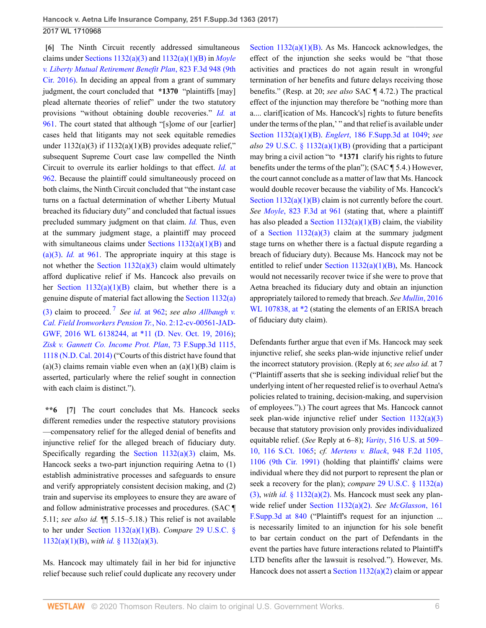<span id="page-5-0"></span>**[\[6\]](#page-1-2)** The Ninth Circuit recently addressed simultaneous claims under [Sections 1132\(a\)\(3\)](http://www.westlaw.com/Link/Document/FullText?findType=L&pubNum=1000546&cite=29USCAS1132&originatingDoc=I755ce07030be11e79de0d9b9354e8e59&refType=RB&originationContext=document&vr=3.0&rs=cblt1.0&transitionType=DocumentItem&contextData=(sc.UserEnteredCitation)#co_pp_28cc0000ccca6) and [1132\(a\)\(1\)\(B\)](http://www.westlaw.com/Link/Document/FullText?findType=L&pubNum=1000546&cite=29USCAS1132&originatingDoc=I755ce07030be11e79de0d9b9354e8e59&refType=RB&originationContext=document&vr=3.0&rs=cblt1.0&transitionType=DocumentItem&contextData=(sc.UserEnteredCitation)#co_pp_50660000823d1) in *[Moyle](http://www.westlaw.com/Link/Document/FullText?findType=Y&serNum=2038893808&pubNum=0000506&originatingDoc=I755ce07030be11e79de0d9b9354e8e59&refType=RP&originationContext=document&vr=3.0&rs=cblt1.0&transitionType=DocumentItem&contextData=(sc.UserEnteredCitation)) [v. Liberty Mutual Retirement Benefit Plan](http://www.westlaw.com/Link/Document/FullText?findType=Y&serNum=2038893808&pubNum=0000506&originatingDoc=I755ce07030be11e79de0d9b9354e8e59&refType=RP&originationContext=document&vr=3.0&rs=cblt1.0&transitionType=DocumentItem&contextData=(sc.UserEnteredCitation))*, 823 F.3d 948 (9th [Cir. 2016\)](http://www.westlaw.com/Link/Document/FullText?findType=Y&serNum=2038893808&pubNum=0000506&originatingDoc=I755ce07030be11e79de0d9b9354e8e59&refType=RP&originationContext=document&vr=3.0&rs=cblt1.0&transitionType=DocumentItem&contextData=(sc.UserEnteredCitation)). In deciding an appeal from a grant of summary judgment, the court concluded that **\*1370** "plaintiffs [may] plead alternate theories of relief" under the two statutory provisions "without obtaining double recoveries." *Id.* [at](http://www.westlaw.com/Link/Document/FullText?findType=Y&serNum=2038893808&pubNum=0000506&originatingDoc=I755ce07030be11e79de0d9b9354e8e59&refType=RP&fi=co_pp_sp_506_961&originationContext=document&vr=3.0&rs=cblt1.0&transitionType=DocumentItem&contextData=(sc.UserEnteredCitation)#co_pp_sp_506_961) [961](http://www.westlaw.com/Link/Document/FullText?findType=Y&serNum=2038893808&pubNum=0000506&originatingDoc=I755ce07030be11e79de0d9b9354e8e59&refType=RP&fi=co_pp_sp_506_961&originationContext=document&vr=3.0&rs=cblt1.0&transitionType=DocumentItem&contextData=(sc.UserEnteredCitation)#co_pp_sp_506_961). The court stated that although "[s]ome of our [earlier] cases held that litigants may not seek equitable remedies under  $1132(a)(3)$  if  $1132(a)(1)(B)$  provides adequate relief," subsequent Supreme Court case law compelled the Ninth Circuit to overrule its earlier holdings to that effect. *Id.* [at](http://www.westlaw.com/Link/Document/FullText?findType=Y&serNum=2038893808&pubNum=0000506&originatingDoc=I755ce07030be11e79de0d9b9354e8e59&refType=RP&fi=co_pp_sp_506_962&originationContext=document&vr=3.0&rs=cblt1.0&transitionType=DocumentItem&contextData=(sc.UserEnteredCitation)#co_pp_sp_506_962) [962](http://www.westlaw.com/Link/Document/FullText?findType=Y&serNum=2038893808&pubNum=0000506&originatingDoc=I755ce07030be11e79de0d9b9354e8e59&refType=RP&fi=co_pp_sp_506_962&originationContext=document&vr=3.0&rs=cblt1.0&transitionType=DocumentItem&contextData=(sc.UserEnteredCitation)#co_pp_sp_506_962). Because the plaintiff could simultaneously proceed on both claims, the Ninth Circuit concluded that "the instant case turns on a factual determination of whether Liberty Mutual breached its fiduciary duty" and concluded that factual issues precluded summary judgment on that claim. *[Id.](http://www.westlaw.com/Link/Document/FullText?findType=Y&serNum=2038893808&pubNum=0000506&originatingDoc=I755ce07030be11e79de0d9b9354e8e59&refType=RP&originationContext=document&vr=3.0&rs=cblt1.0&transitionType=DocumentItem&contextData=(sc.UserEnteredCitation))* Thus, even at the summary judgment stage, a plaintiff may proceed with simultaneous claims under Sections  $1132(a)(1)(B)$  and [\(a\)\(3\).](http://www.westlaw.com/Link/Document/FullText?findType=L&pubNum=1000546&cite=29USCAS1132&originatingDoc=I755ce07030be11e79de0d9b9354e8e59&refType=RB&originationContext=document&vr=3.0&rs=cblt1.0&transitionType=DocumentItem&contextData=(sc.UserEnteredCitation)#co_pp_28cc0000ccca6) *Id.* [at 961](http://www.westlaw.com/Link/Document/FullText?findType=Y&serNum=2038893808&pubNum=0000506&originatingDoc=I755ce07030be11e79de0d9b9354e8e59&refType=RP&fi=co_pp_sp_506_961&originationContext=document&vr=3.0&rs=cblt1.0&transitionType=DocumentItem&contextData=(sc.UserEnteredCitation)#co_pp_sp_506_961). The appropriate inquiry at this stage is not whether the Section  $1132(a)(3)$  claim would ultimately afford duplicative relief if Ms. Hancock also prevails on her Section  $1132(a)(1)(B)$  claim, but whether there is a genuine dispute of material fact allowing the [Section 1132\(a\)](http://www.westlaw.com/Link/Document/FullText?findType=L&pubNum=1000546&cite=29USCAS1132&originatingDoc=I755ce07030be11e79de0d9b9354e8e59&refType=RB&originationContext=document&vr=3.0&rs=cblt1.0&transitionType=DocumentItem&contextData=(sc.UserEnteredCitation)#co_pp_28cc0000ccca6) [\(3\)](http://www.westlaw.com/Link/Document/FullText?findType=L&pubNum=1000546&cite=29USCAS1132&originatingDoc=I755ce07030be11e79de0d9b9354e8e59&refType=RB&originationContext=document&vr=3.0&rs=cblt1.0&transitionType=DocumentItem&contextData=(sc.UserEnteredCitation)#co_pp_28cc0000ccca6) claim to proceed.<sup>[7](#page-9-4)</sup> See *id.* [at 962](http://www.westlaw.com/Link/Document/FullText?findType=Y&serNum=2038893808&pubNum=0000506&originatingDoc=I755ce07030be11e79de0d9b9354e8e59&refType=RP&fi=co_pp_sp_506_962&originationContext=document&vr=3.0&rs=cblt1.0&transitionType=DocumentItem&contextData=(sc.UserEnteredCitation)#co_pp_sp_506_962); see also [Allbaugh v.](http://www.westlaw.com/Link/Document/FullText?findType=Y&serNum=2040144038&pubNum=0000999&originatingDoc=I755ce07030be11e79de0d9b9354e8e59&refType=RP&originationContext=document&vr=3.0&rs=cblt1.0&transitionType=DocumentItem&contextData=(sc.UserEnteredCitation)) *[Cal. Field Ironworkers Pension Tr.](http://www.westlaw.com/Link/Document/FullText?findType=Y&serNum=2040144038&pubNum=0000999&originatingDoc=I755ce07030be11e79de0d9b9354e8e59&refType=RP&originationContext=document&vr=3.0&rs=cblt1.0&transitionType=DocumentItem&contextData=(sc.UserEnteredCitation))*, No. 2:12-cv-00561-JAD-[GWF, 2016 WL 6138244, at \\*11 \(D. Nev. Oct. 19, 2016\)](http://www.westlaw.com/Link/Document/FullText?findType=Y&serNum=2040144038&pubNum=0000999&originatingDoc=I755ce07030be11e79de0d9b9354e8e59&refType=RP&originationContext=document&vr=3.0&rs=cblt1.0&transitionType=DocumentItem&contextData=(sc.UserEnteredCitation)); *[Zisk v. Gannett Co. Income Prot. Plan](http://www.westlaw.com/Link/Document/FullText?findType=Y&serNum=2034751179&pubNum=0007903&originatingDoc=I755ce07030be11e79de0d9b9354e8e59&refType=RP&fi=co_pp_sp_7903_1118&originationContext=document&vr=3.0&rs=cblt1.0&transitionType=DocumentItem&contextData=(sc.UserEnteredCitation)#co_pp_sp_7903_1118)*, 73 F.Supp.3d 1115, [1118 \(N.D. Cal. 2014\)](http://www.westlaw.com/Link/Document/FullText?findType=Y&serNum=2034751179&pubNum=0007903&originatingDoc=I755ce07030be11e79de0d9b9354e8e59&refType=RP&fi=co_pp_sp_7903_1118&originationContext=document&vr=3.0&rs=cblt1.0&transitionType=DocumentItem&contextData=(sc.UserEnteredCitation)#co_pp_sp_7903_1118) ("Courts of this district have found that (a)(3) claims remain viable even when an  $(a)(1)(B)$  claim is asserted, particularly where the relief sought in connection with each claim is distinct.").

<span id="page-5-2"></span><span id="page-5-1"></span>**\*\*6 [\[7\]](#page-1-0)** The court concludes that Ms. Hancock seeks different remedies under the respective statutory provisions —compensatory relief for the alleged denial of benefits and injunctive relief for the alleged breach of fiduciary duty. Specifically regarding the Section  $1132(a)(3)$  claim, Ms. Hancock seeks a two-part injunction requiring Aetna to (1) establish administrative processes and safeguards to ensure and verify appropriately consistent decision making, and (2) train and supervise its employees to ensure they are aware of and follow administrative processes and procedures. (SAC ¶ 5.11; *see also id.* ¶¶ 5.15–5.18.) This relief is not available to her under [Section 1132\(a\)\(1\)\(B\)](http://www.westlaw.com/Link/Document/FullText?findType=L&pubNum=1000546&cite=29USCAS1132&originatingDoc=I755ce07030be11e79de0d9b9354e8e59&refType=RB&originationContext=document&vr=3.0&rs=cblt1.0&transitionType=DocumentItem&contextData=(sc.UserEnteredCitation)#co_pp_50660000823d1). *Compare* [29 U.S.C. §](http://www.westlaw.com/Link/Document/FullText?findType=L&pubNum=1000546&cite=29USCAS1132&originatingDoc=I755ce07030be11e79de0d9b9354e8e59&refType=RB&originationContext=document&vr=3.0&rs=cblt1.0&transitionType=DocumentItem&contextData=(sc.UserEnteredCitation)#co_pp_50660000823d1) [1132\(a\)\(1\)\(B\),](http://www.westlaw.com/Link/Document/FullText?findType=L&pubNum=1000546&cite=29USCAS1132&originatingDoc=I755ce07030be11e79de0d9b9354e8e59&refType=RB&originationContext=document&vr=3.0&rs=cblt1.0&transitionType=DocumentItem&contextData=(sc.UserEnteredCitation)#co_pp_50660000823d1) *with id.* [§ 1132\(a\)\(3\)](http://www.westlaw.com/Link/Document/FullText?findType=L&pubNum=1000546&cite=29USCAS1132&originatingDoc=I755ce07030be11e79de0d9b9354e8e59&refType=RB&originationContext=document&vr=3.0&rs=cblt1.0&transitionType=DocumentItem&contextData=(sc.UserEnteredCitation)#co_pp_28cc0000ccca6).

Ms. Hancock may ultimately fail in her bid for injunctive relief because such relief could duplicate any recovery under Section  $1132(a)(1)(B)$ . As Ms. Hancock acknowledges, the effect of the injunction she seeks would be "that those activities and practices do not again result in wrongful termination of her benefits and future delays receiving those benefits." (Resp. at 20; *see also* SAC ¶ 4.72.) The practical effect of the injunction may therefore be "nothing more than a.... clarif[ication of Ms. Hancock's] rights to future benefits under the terms of the plan,' " and that relief is available under [Section 1132\(a\)\(1\)\(B\)](http://www.westlaw.com/Link/Document/FullText?findType=L&pubNum=1000546&cite=29USCAS1132&originatingDoc=I755ce07030be11e79de0d9b9354e8e59&refType=RB&originationContext=document&vr=3.0&rs=cblt1.0&transitionType=DocumentItem&contextData=(sc.UserEnteredCitation)#co_pp_50660000823d1). *Englert*[, 186 F.Supp.3d at 1049](http://www.westlaw.com/Link/Document/FullText?findType=Y&serNum=2038842975&pubNum=0007903&originatingDoc=I755ce07030be11e79de0d9b9354e8e59&refType=RP&fi=co_pp_sp_7903_1049&originationContext=document&vr=3.0&rs=cblt1.0&transitionType=DocumentItem&contextData=(sc.UserEnteredCitation)#co_pp_sp_7903_1049); *see also* [29 U.S.C. § 1132\(a\)\(1\)\(B\)](http://www.westlaw.com/Link/Document/FullText?findType=L&pubNum=1000546&cite=29USCAS1132&originatingDoc=I755ce07030be11e79de0d9b9354e8e59&refType=RB&originationContext=document&vr=3.0&rs=cblt1.0&transitionType=DocumentItem&contextData=(sc.UserEnteredCitation)#co_pp_50660000823d1) (providing that a participant may bring a civil action "to **\*1371** clarify his rights to future benefits under the terms of the plan"); (SAC ¶ 5.4.) However, the court cannot conclude as a matter of law that Ms. Hancock would double recover because the viability of Ms. Hancock's Section  $1132(a)(1)(B)$  claim is not currently before the court. *See Moyle*[, 823 F.3d at 961](http://www.westlaw.com/Link/Document/FullText?findType=Y&serNum=2038893808&pubNum=0000506&originatingDoc=I755ce07030be11e79de0d9b9354e8e59&refType=RP&fi=co_pp_sp_506_961&originationContext=document&vr=3.0&rs=cblt1.0&transitionType=DocumentItem&contextData=(sc.UserEnteredCitation)#co_pp_sp_506_961) (stating that, where a plaintiff has also pleaded a Section  $1132(a)(1)(B)$  claim, the viability of a Section  $1132(a)(3)$  claim at the summary judgment stage turns on whether there is a factual dispute regarding a breach of fiduciary duty). Because Ms. Hancock may not be entitled to relief under [Section 1132\(a\)\(1\)\(B\)](http://www.westlaw.com/Link/Document/FullText?findType=L&pubNum=1000546&cite=29USCAS1132&originatingDoc=I755ce07030be11e79de0d9b9354e8e59&refType=RB&originationContext=document&vr=3.0&rs=cblt1.0&transitionType=DocumentItem&contextData=(sc.UserEnteredCitation)#co_pp_50660000823d1), Ms. Hancock would not necessarily recover twice if she were to prove that Aetna breached its fiduciary duty and obtain an injunction appropriately tailored to remedy that breach. *See [Mullin](http://www.westlaw.com/Link/Document/FullText?findType=Y&serNum=2037974326&pubNum=0000999&originatingDoc=I755ce07030be11e79de0d9b9354e8e59&refType=RP&originationContext=document&vr=3.0&rs=cblt1.0&transitionType=DocumentItem&contextData=(sc.UserEnteredCitation))*, 2016 WL 107838, at  $*2$  (stating the elements of an ERISA breach of fiduciary duty claim).

Defendants further argue that even if Ms. Hancock may seek injunctive relief, she seeks plan-wide injunctive relief under the incorrect statutory provision. (Reply at 6; *see also id.* at 7 ("Plaintiff asserts that she is seeking individual relief but the underlying intent of her requested relief is to overhaul Aetna's policies related to training, decision-making, and supervision of employees.").) The court agrees that Ms. Hancock cannot seek plan-wide injunctive relief under [Section 1132\(a\)\(3\)](http://www.westlaw.com/Link/Document/FullText?findType=L&pubNum=1000546&cite=29USCAS1132&originatingDoc=I755ce07030be11e79de0d9b9354e8e59&refType=RB&originationContext=document&vr=3.0&rs=cblt1.0&transitionType=DocumentItem&contextData=(sc.UserEnteredCitation)#co_pp_28cc0000ccca6) because that statutory provision only provides individualized equitable relief. (*See* Reply at 6–8); *Varity*[, 516 U.S. at 509–](http://www.westlaw.com/Link/Document/FullText?findType=Y&serNum=1996072422&pubNum=0000780&originatingDoc=I755ce07030be11e79de0d9b9354e8e59&refType=RP&fi=co_pp_sp_780_509&originationContext=document&vr=3.0&rs=cblt1.0&transitionType=DocumentItem&contextData=(sc.UserEnteredCitation)#co_pp_sp_780_509) [10, 116 S.Ct. 1065;](http://www.westlaw.com/Link/Document/FullText?findType=Y&serNum=1996072422&pubNum=0000780&originatingDoc=I755ce07030be11e79de0d9b9354e8e59&refType=RP&fi=co_pp_sp_780_509&originationContext=document&vr=3.0&rs=cblt1.0&transitionType=DocumentItem&contextData=(sc.UserEnteredCitation)#co_pp_sp_780_509) *cf. [Mertens v. Black](http://www.westlaw.com/Link/Document/FullText?findType=Y&serNum=1991179064&pubNum=0000350&originatingDoc=I755ce07030be11e79de0d9b9354e8e59&refType=RP&fi=co_pp_sp_350_1106&originationContext=document&vr=3.0&rs=cblt1.0&transitionType=DocumentItem&contextData=(sc.UserEnteredCitation)#co_pp_sp_350_1106)*, 948 F.2d 1105, [1106 \(9th Cir. 1991\)](http://www.westlaw.com/Link/Document/FullText?findType=Y&serNum=1991179064&pubNum=0000350&originatingDoc=I755ce07030be11e79de0d9b9354e8e59&refType=RP&fi=co_pp_sp_350_1106&originationContext=document&vr=3.0&rs=cblt1.0&transitionType=DocumentItem&contextData=(sc.UserEnteredCitation)#co_pp_sp_350_1106) (holding that plaintiffs' claims were individual where they did not purport to represent the plan or seek a recovery for the plan); *compare* [29 U.S.C. § 1132\(a\)](http://www.westlaw.com/Link/Document/FullText?findType=L&pubNum=1000546&cite=29USCAS1132&originatingDoc=I755ce07030be11e79de0d9b9354e8e59&refType=RB&originationContext=document&vr=3.0&rs=cblt1.0&transitionType=DocumentItem&contextData=(sc.UserEnteredCitation)#co_pp_28cc0000ccca6) [\(3\),](http://www.westlaw.com/Link/Document/FullText?findType=L&pubNum=1000546&cite=29USCAS1132&originatingDoc=I755ce07030be11e79de0d9b9354e8e59&refType=RB&originationContext=document&vr=3.0&rs=cblt1.0&transitionType=DocumentItem&contextData=(sc.UserEnteredCitation)#co_pp_28cc0000ccca6) *with id.* [§ 1132\(a\)\(2\)](http://www.westlaw.com/Link/Document/FullText?findType=L&pubNum=1000546&cite=29USCAS1132&originatingDoc=I755ce07030be11e79de0d9b9354e8e59&refType=RB&originationContext=document&vr=3.0&rs=cblt1.0&transitionType=DocumentItem&contextData=(sc.UserEnteredCitation)#co_pp_d86d0000be040). Ms. Hancock must seek any planwide relief under [Section 1132\(a\)\(2\).](http://www.westlaw.com/Link/Document/FullText?findType=L&pubNum=1000546&cite=29USCAS1132&originatingDoc=I755ce07030be11e79de0d9b9354e8e59&refType=RB&originationContext=document&vr=3.0&rs=cblt1.0&transitionType=DocumentItem&contextData=(sc.UserEnteredCitation)#co_pp_d86d0000be040) *See [McGlasson](http://www.westlaw.com/Link/Document/FullText?findType=Y&serNum=2038269470&pubNum=0007903&originatingDoc=I755ce07030be11e79de0d9b9354e8e59&refType=RP&fi=co_pp_sp_7903_840&originationContext=document&vr=3.0&rs=cblt1.0&transitionType=DocumentItem&contextData=(sc.UserEnteredCitation)#co_pp_sp_7903_840)*, 161 [F.Supp.3d at 840](http://www.westlaw.com/Link/Document/FullText?findType=Y&serNum=2038269470&pubNum=0007903&originatingDoc=I755ce07030be11e79de0d9b9354e8e59&refType=RP&fi=co_pp_sp_7903_840&originationContext=document&vr=3.0&rs=cblt1.0&transitionType=DocumentItem&contextData=(sc.UserEnteredCitation)#co_pp_sp_7903_840) ("Plaintiff's request for an injunction ... is necessarily limited to an injunction for his sole benefit to bar certain conduct on the part of Defendants in the event the parties have future interactions related to Plaintiff's LTD benefits after the lawsuit is resolved."). However, Ms. Hancock does not assert a Section  $1132(a)(2)$  claim or appear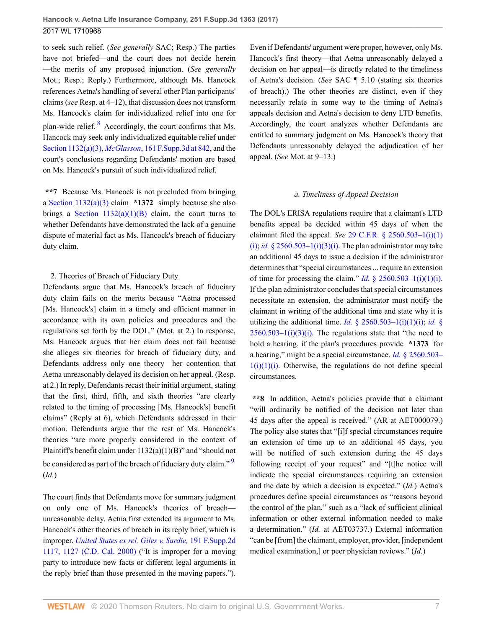to seek such relief. (*See generally* SAC; Resp.) The parties have not briefed—and the court does not decide herein —the merits of any proposed injunction. (*See generally* Mot.; Resp.; Reply.) Furthermore, although Ms. Hancock references Aetna's handling of several other Plan participants' claims (*see* Resp. at 4–12), that discussion does not transform Ms. Hancock's claim for individualized relief into one for plan-wide relief. <sup>[8](#page-9-5)</sup> Accordingly, the court confirms that Ms. Hancock may seek only individualized equitable relief under [Section 1132\(a\)\(3\)](http://www.westlaw.com/Link/Document/FullText?findType=L&pubNum=1000546&cite=29USCAS1132&originatingDoc=I755ce07030be11e79de0d9b9354e8e59&refType=RB&originationContext=document&vr=3.0&rs=cblt1.0&transitionType=DocumentItem&contextData=(sc.UserEnteredCitation)#co_pp_28cc0000ccca6), *McGlasson*[, 161 F.Supp.3d at 842](http://www.westlaw.com/Link/Document/FullText?findType=Y&serNum=2038269470&pubNum=0007903&originatingDoc=I755ce07030be11e79de0d9b9354e8e59&refType=RP&fi=co_pp_sp_7903_842&originationContext=document&vr=3.0&rs=cblt1.0&transitionType=DocumentItem&contextData=(sc.UserEnteredCitation)#co_pp_sp_7903_842), and the court's conclusions regarding Defendants' motion are based on Ms. Hancock's pursuit of such individualized relief.

<span id="page-6-0"></span>**\*\*7** Because Ms. Hancock is not precluded from bringing a [Section 1132\(a\)\(3\)](http://www.westlaw.com/Link/Document/FullText?findType=L&pubNum=1000546&cite=29USCAS1132&originatingDoc=I755ce07030be11e79de0d9b9354e8e59&refType=RB&originationContext=document&vr=3.0&rs=cblt1.0&transitionType=DocumentItem&contextData=(sc.UserEnteredCitation)#co_pp_28cc0000ccca6) claim **\*1372** simply because she also brings a Section  $1132(a)(1)(B)$  claim, the court turns to whether Defendants have demonstrated the lack of a genuine dispute of material fact as Ms. Hancock's breach of fiduciary duty claim.

#### 2. Theories of Breach of Fiduciary Duty

Defendants argue that Ms. Hancock's breach of fiduciary duty claim fails on the merits because "Aetna processed [Ms. Hancock's] claim in a timely and efficient manner in accordance with its own policies and procedures and the regulations set forth by the DOL." (Mot. at 2.) In response, Ms. Hancock argues that her claim does not fail because she alleges six theories for breach of fiduciary duty, and Defendants address only one theory—her contention that Aetna unreasonably delayed its decision on her appeal. (Resp. at 2.) In reply, Defendants recast their initial argument, stating that the first, third, fifth, and sixth theories "are clearly related to the timing of processing [Ms. Hancock's] benefit claims" (Reply at 6), which Defendants addressed in their motion. Defendants argue that the rest of Ms. Hancock's theories "are more properly considered in the context of Plaintiff's benefit claim under 1132(a)(1)(B)" and "should not be considered as part of the breach of fiduciary duty claim." $9$ (*Id.*)

The court finds that Defendants move for summary judgment on only one of Ms. Hancock's theories of breach unreasonable delay. Aetna first extended its argument to Ms. Hancock's other theories of breach in its reply brief, which is improper. *[United States ex rel. Giles v. Sardie,](http://www.westlaw.com/Link/Document/FullText?findType=Y&serNum=2001931216&pubNum=0004637&originatingDoc=I755ce07030be11e79de0d9b9354e8e59&refType=RP&fi=co_pp_sp_4637_1127&originationContext=document&vr=3.0&rs=cblt1.0&transitionType=DocumentItem&contextData=(sc.UserEnteredCitation)#co_pp_sp_4637_1127)* 191 F.Supp.2d [1117, 1127 \(C.D. Cal. 2000\)](http://www.westlaw.com/Link/Document/FullText?findType=Y&serNum=2001931216&pubNum=0004637&originatingDoc=I755ce07030be11e79de0d9b9354e8e59&refType=RP&fi=co_pp_sp_4637_1127&originationContext=document&vr=3.0&rs=cblt1.0&transitionType=DocumentItem&contextData=(sc.UserEnteredCitation)#co_pp_sp_4637_1127) ("It is improper for a moving party to introduce new facts or different legal arguments in the reply brief than those presented in the moving papers."). Even if Defendants' argument were proper, however, only Ms. Hancock's first theory—that Aetna unreasonably delayed a decision on her appeal—is directly related to the timeliness of Aetna's decision. (*See* SAC ¶ 5.10 (stating six theories of breach).) The other theories are distinct, even if they necessarily relate in some way to the timing of Aetna's appeals decision and Aetna's decision to deny LTD benefits. Accordingly, the court analyzes whether Defendants are entitled to summary judgment on Ms. Hancock's theory that Defendants unreasonably delayed the adjudication of her appeal. (*See* Mot. at 9–13.)

#### *a. Timeliness of Appeal Decision*

The DOL's ERISA regulations require that a claimant's LTD benefits appeal be decided within 45 days of when the claimant filed the appeal. *See* [29 C.F.R. § 2560.503–1\(i\)\(1\)](http://www.westlaw.com/Link/Document/FullText?findType=L&pubNum=1000547&cite=29CFRS2560.503-1&originatingDoc=I755ce07030be11e79de0d9b9354e8e59&refType=RB&originationContext=document&vr=3.0&rs=cblt1.0&transitionType=DocumentItem&contextData=(sc.UserEnteredCitation)#co_pp_bcfd00009f4b2) [\(i\)](http://www.westlaw.com/Link/Document/FullText?findType=L&pubNum=1000547&cite=29CFRS2560.503-1&originatingDoc=I755ce07030be11e79de0d9b9354e8e59&refType=RB&originationContext=document&vr=3.0&rs=cblt1.0&transitionType=DocumentItem&contextData=(sc.UserEnteredCitation)#co_pp_bcfd00009f4b2); *id.* § 2560.503-1(i)(3)(i). The plan administrator may take an additional 45 days to issue a decision if the administrator determines that "special circumstances ... require an extension of time for processing the claim." *Id.*  $\frac{8}{9}$  2560.503–1(i)(1)(i). If the plan administrator concludes that special circumstances necessitate an extension, the administrator must notify the claimant in writing of the additional time and state why it is utilizing the additional time. *Id.* [§ 2560.503–1\(i\)\(1\)\(i\);](http://www.westlaw.com/Link/Document/FullText?findType=L&pubNum=1000547&cite=29CFRS2560.503-1&originatingDoc=I755ce07030be11e79de0d9b9354e8e59&refType=RB&originationContext=document&vr=3.0&rs=cblt1.0&transitionType=DocumentItem&contextData=(sc.UserEnteredCitation)#co_pp_bcfd00009f4b2) *[id.](http://www.westlaw.com/Link/Document/FullText?findType=L&pubNum=1000547&cite=29CFRS2560.503-1&originatingDoc=I755ce07030be11e79de0d9b9354e8e59&refType=RB&originationContext=document&vr=3.0&rs=cblt1.0&transitionType=DocumentItem&contextData=(sc.UserEnteredCitation)#co_pp_d450000087f37)* §  $2560.503-1(i)(3)(i)$ . The regulations state that "the need to hold a hearing, if the plan's procedures provide **\*1373** for a hearing," might be a special circumstance. *Id.* [§ 2560.503–](http://www.westlaw.com/Link/Document/FullText?findType=L&pubNum=1000547&cite=29CFRS2560.503-1&originatingDoc=I755ce07030be11e79de0d9b9354e8e59&refType=RB&originationContext=document&vr=3.0&rs=cblt1.0&transitionType=DocumentItem&contextData=(sc.UserEnteredCitation)#co_pp_bcfd00009f4b2)  $1(i)(1)(i)$ . Otherwise, the regulations do not define special circumstances.

<span id="page-6-1"></span>**\*\*8** In addition, Aetna's policies provide that a claimant "will ordinarily be notified of the decision not later than 45 days after the appeal is received." (AR at AET000079.) The policy also states that "[i]f special circumstances require an extension of time up to an additional 45 days, you will be notified of such extension during the 45 days following receipt of your request" and "[t]he notice will indicate the special circumstances requiring an extension and the date by which a decision is expected." (*Id.*) Aetna's procedures define special circumstances as "reasons beyond the control of the plan," such as a "lack of sufficient clinical information or other external information needed to make a determination." (*Id.* at AET03737.) External information "can be [from] the claimant, employer, provider, [independent medical examination,] or peer physician reviews." (*Id.*)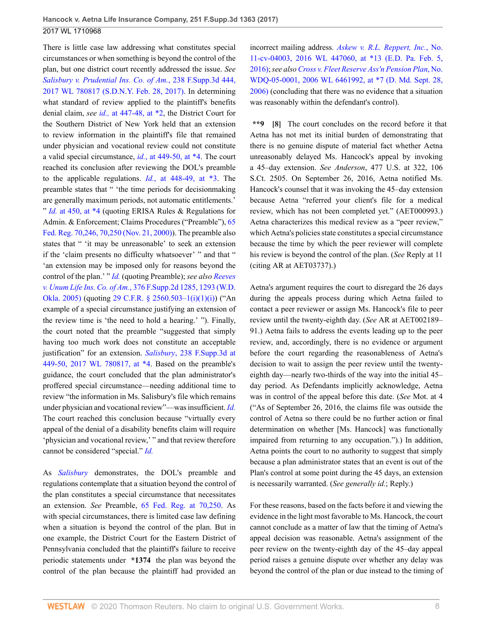There is little case law addressing what constitutes special circumstances or when something is beyond the control of the plan, but one district court recently addressed the issue. *See [Salisbury v. Prudential Ins. Co. of Am.](http://www.westlaw.com/Link/Document/FullText?findType=Y&serNum=2041132511&pubNum=0007903&originatingDoc=I755ce07030be11e79de0d9b9354e8e59&refType=RP&originationContext=document&vr=3.0&rs=cblt1.0&transitionType=DocumentItem&contextData=(sc.UserEnteredCitation))*, 238 F.Supp.3d 444, [2017 WL 780817 \(S.D.N.Y. Feb. 28, 2017\)](http://www.westlaw.com/Link/Document/FullText?findType=Y&serNum=2041132511&pubNum=0007903&originatingDoc=I755ce07030be11e79de0d9b9354e8e59&refType=RP&originationContext=document&vr=3.0&rs=cblt1.0&transitionType=DocumentItem&contextData=(sc.UserEnteredCitation)). In determining what standard of review applied to the plaintiff's benefits denial claim, *see id.,* [at 447-48, at \\*2,](http://www.westlaw.com/Link/Document/FullText?findType=Y&serNum=2041132511&originatingDoc=I755ce07030be11e79de0d9b9354e8e59&refType=RP&originationContext=document&vr=3.0&rs=cblt1.0&transitionType=DocumentItem&contextData=(sc.UserEnteredCitation)) the District Court for the Southern District of New York held that an extension to review information in the plaintiff's file that remained under physician and vocational review could not constitute a valid special circumstance, *id.*[, at 449-50, at \\*4.](http://www.westlaw.com/Link/Document/FullText?findType=Y&serNum=2041132511&originatingDoc=I755ce07030be11e79de0d9b9354e8e59&refType=RP&originationContext=document&vr=3.0&rs=cblt1.0&transitionType=DocumentItem&contextData=(sc.UserEnteredCitation)) The court reached its conclusion after reviewing the DOL's preamble to the applicable regulations. *Id.*[, at 448-49, at \\*3.](http://www.westlaw.com/Link/Document/FullText?findType=Y&serNum=2041132511&originatingDoc=I755ce07030be11e79de0d9b9354e8e59&refType=RP&originationContext=document&vr=3.0&rs=cblt1.0&transitionType=DocumentItem&contextData=(sc.UserEnteredCitation)) The preamble states that " 'the time periods for decisionmaking are generally maximum periods, not automatic entitlements.' " *Id.* [at 450, at \\*4](http://www.westlaw.com/Link/Document/FullText?findType=Y&serNum=2041132511&originatingDoc=I755ce07030be11e79de0d9b9354e8e59&refType=RP&originationContext=document&vr=3.0&rs=cblt1.0&transitionType=DocumentItem&contextData=(sc.UserEnteredCitation)) (quoting ERISA Rules & Regulations for Admin. & Enforcement; Claims Procedures ("Preamble"), [65](http://www.westlaw.com/Link/Document/FullText?findType=l&pubNum=0001037&cite=UUID(IB3A832802FBD11DAAE9ABB7EB80F7B3D)&originatingDoc=I755ce07030be11e79de0d9b9354e8e59&refType=CP&fi=co_pp_sp_1037_70&originationContext=document&vr=3.0&rs=cblt1.0&transitionType=DocumentItem&contextData=(sc.UserEnteredCitation)#co_pp_sp_1037_70) [Fed. Reg. 70,246, 70,250 \(Nov. 21, 2000\)\)](http://www.westlaw.com/Link/Document/FullText?findType=l&pubNum=0001037&cite=UUID(IB3A832802FBD11DAAE9ABB7EB80F7B3D)&originatingDoc=I755ce07030be11e79de0d9b9354e8e59&refType=CP&fi=co_pp_sp_1037_70&originationContext=document&vr=3.0&rs=cblt1.0&transitionType=DocumentItem&contextData=(sc.UserEnteredCitation)#co_pp_sp_1037_70). The preamble also states that " 'it may be unreasonable' to seek an extension if the 'claim presents no difficulty whatsoever' " and that " 'an extension may be imposed only for reasons beyond the control of the plan.' " *[Id.](http://www.westlaw.com/Link/Document/FullText?findType=l&pubNum=0001037&cite=UUID(I9C232B80309211DAAECA8D28B8108CB8)&originatingDoc=I755ce07030be11e79de0d9b9354e8e59&refType=CP&fi=co_pp_sp_1037_70246&originationContext=document&vr=3.0&rs=cblt1.0&transitionType=DocumentItem&contextData=(sc.UserEnteredCitation)#co_pp_sp_1037_70246)* (quoting Preamble); *see also [Reeves](http://www.westlaw.com/Link/Document/FullText?findType=Y&serNum=2006924641&pubNum=0004637&originatingDoc=I755ce07030be11e79de0d9b9354e8e59&refType=RP&fi=co_pp_sp_4637_1293&originationContext=document&vr=3.0&rs=cblt1.0&transitionType=DocumentItem&contextData=(sc.UserEnteredCitation)#co_pp_sp_4637_1293) v. Unum Life Ins. Co. of Am.*[, 376 F.Supp.2d 1285, 1293 \(W.D.](http://www.westlaw.com/Link/Document/FullText?findType=Y&serNum=2006924641&pubNum=0004637&originatingDoc=I755ce07030be11e79de0d9b9354e8e59&refType=RP&fi=co_pp_sp_4637_1293&originationContext=document&vr=3.0&rs=cblt1.0&transitionType=DocumentItem&contextData=(sc.UserEnteredCitation)#co_pp_sp_4637_1293) [Okla. 2005\)](http://www.westlaw.com/Link/Document/FullText?findType=Y&serNum=2006924641&pubNum=0004637&originatingDoc=I755ce07030be11e79de0d9b9354e8e59&refType=RP&fi=co_pp_sp_4637_1293&originationContext=document&vr=3.0&rs=cblt1.0&transitionType=DocumentItem&contextData=(sc.UserEnteredCitation)#co_pp_sp_4637_1293) (quoting [29 C.F.R. § 2560.503–1\(i\)\(1\)\(i\)\)](http://www.westlaw.com/Link/Document/FullText?findType=L&pubNum=1000547&cite=29CFRS2560.503-1&originatingDoc=I755ce07030be11e79de0d9b9354e8e59&refType=RB&originationContext=document&vr=3.0&rs=cblt1.0&transitionType=DocumentItem&contextData=(sc.UserEnteredCitation)#co_pp_bcfd00009f4b2) ("An example of a special circumstance justifying an extension of the review time is 'the need to hold a hearing.' "). Finally, the court noted that the preamble "suggested that simply having too much work does not constitute an acceptable justification" for an extension. *Salisbury*[, 238 F.Supp.3d at](http://www.westlaw.com/Link/Document/FullText?findType=Y&serNum=2041132511&pubNum=0007903&originatingDoc=I755ce07030be11e79de0d9b9354e8e59&refType=RP&fi=co_pp_sp_7903_449&originationContext=document&vr=3.0&rs=cblt1.0&transitionType=DocumentItem&contextData=(sc.UserEnteredCitation)#co_pp_sp_7903_449) [449-50, 2017 WL 780817, at \\*4](http://www.westlaw.com/Link/Document/FullText?findType=Y&serNum=2041132511&pubNum=0007903&originatingDoc=I755ce07030be11e79de0d9b9354e8e59&refType=RP&fi=co_pp_sp_7903_449&originationContext=document&vr=3.0&rs=cblt1.0&transitionType=DocumentItem&contextData=(sc.UserEnteredCitation)#co_pp_sp_7903_449). Based on the preamble's guidance, the court concluded that the plan administrator's proffered special circumstance—needing additional time to review "the information in Ms. Salisbury's file which remains under physician and vocational review"—was insufficient. *[Id.](http://www.westlaw.com/Link/Document/FullText?findType=Y&serNum=2041132511&pubNum=0000999&originatingDoc=I755ce07030be11e79de0d9b9354e8e59&refType=RP&originationContext=document&vr=3.0&rs=cblt1.0&transitionType=DocumentItem&contextData=(sc.UserEnteredCitation))* The court reached this conclusion because "virtually every appeal of the denial of a disability benefits claim will require 'physician and vocational review,' " and that review therefore cannot be considered "special." *[Id.](http://www.westlaw.com/Link/Document/FullText?findType=Y&serNum=2041132511&pubNum=0000999&originatingDoc=I755ce07030be11e79de0d9b9354e8e59&refType=RP&originationContext=document&vr=3.0&rs=cblt1.0&transitionType=DocumentItem&contextData=(sc.UserEnteredCitation))*

As *[Salisbury](http://www.westlaw.com/Link/Document/FullText?findType=Y&serNum=2041132511&pubNum=0000999&originatingDoc=I755ce07030be11e79de0d9b9354e8e59&refType=RP&originationContext=document&vr=3.0&rs=cblt1.0&transitionType=DocumentItem&contextData=(sc.UserEnteredCitation))* demonstrates, the DOL's preamble and regulations contemplate that a situation beyond the control of the plan constitutes a special circumstance that necessitates an extension. *See* Preamble, [65 Fed. Reg. at 70,250](http://www.westlaw.com/Link/Document/FullText?findType=l&pubNum=0001037&cite=UUID(IB3A832802FBD11DAAE9ABB7EB80F7B3D)&originatingDoc=I755ce07030be11e79de0d9b9354e8e59&refType=CP&fi=co_pp_sp_1037_70&originationContext=document&vr=3.0&rs=cblt1.0&transitionType=DocumentItem&contextData=(sc.UserEnteredCitation)#co_pp_sp_1037_70). As with special circumstances, there is limited case law defining when a situation is beyond the control of the plan. But in one example, the District Court for the Eastern District of Pennsylvania concluded that the plaintiff's failure to receive periodic statements under **\*1374** the plan was beyond the control of the plan because the plaintiff had provided an

incorrect mailing address. *[Askew v. R.L. Reppert, Inc.](http://www.westlaw.com/Link/Document/FullText?findType=Y&serNum=2038227962&pubNum=0000999&originatingDoc=I755ce07030be11e79de0d9b9354e8e59&refType=RP&originationContext=document&vr=3.0&rs=cblt1.0&transitionType=DocumentItem&contextData=(sc.UserEnteredCitation))*, No. [11-cv-04003, 2016 WL 447060, at \\*13 \(E.D. Pa. Feb. 5,](http://www.westlaw.com/Link/Document/FullText?findType=Y&serNum=2038227962&pubNum=0000999&originatingDoc=I755ce07030be11e79de0d9b9354e8e59&refType=RP&originationContext=document&vr=3.0&rs=cblt1.0&transitionType=DocumentItem&contextData=(sc.UserEnteredCitation)) [2016\)](http://www.westlaw.com/Link/Document/FullText?findType=Y&serNum=2038227962&pubNum=0000999&originatingDoc=I755ce07030be11e79de0d9b9354e8e59&refType=RP&originationContext=document&vr=3.0&rs=cblt1.0&transitionType=DocumentItem&contextData=(sc.UserEnteredCitation)); *see also [Cross v. Fleet Reserve Ass'n Pension Plan](http://www.westlaw.com/Link/Document/FullText?findType=Y&serNum=2021095092&pubNum=0000999&originatingDoc=I755ce07030be11e79de0d9b9354e8e59&refType=RP&originationContext=document&vr=3.0&rs=cblt1.0&transitionType=DocumentItem&contextData=(sc.UserEnteredCitation))*, No. [WDQ-05-0001, 2006 WL 6461992, at \\*7 \(D. Md. Sept. 28,](http://www.westlaw.com/Link/Document/FullText?findType=Y&serNum=2021095092&pubNum=0000999&originatingDoc=I755ce07030be11e79de0d9b9354e8e59&refType=RP&originationContext=document&vr=3.0&rs=cblt1.0&transitionType=DocumentItem&contextData=(sc.UserEnteredCitation)) [2006\)](http://www.westlaw.com/Link/Document/FullText?findType=Y&serNum=2021095092&pubNum=0000999&originatingDoc=I755ce07030be11e79de0d9b9354e8e59&refType=RP&originationContext=document&vr=3.0&rs=cblt1.0&transitionType=DocumentItem&contextData=(sc.UserEnteredCitation)) (concluding that there was no evidence that a situation was reasonably within the defendant's control).

<span id="page-7-0"></span>**\*\*9 [\[8\]](#page-1-1)** The court concludes on the record before it that Aetna has not met its initial burden of demonstrating that there is no genuine dispute of material fact whether Aetna unreasonably delayed Ms. Hancock's appeal by invoking a 45–day extension. *See Anderson*, 477 U.S. at 322, 106 S.Ct. 2505. On September 26, 2016, Aetna notified Ms. Hancock's counsel that it was invoking the 45–day extension because Aetna "referred your client's file for a medical review, which has not been completed yet." (AET000993.) Aetna characterizes this medical review as a "peer review," which Aetna's policies state constitutes a special circumstance because the time by which the peer reviewer will complete his review is beyond the control of the plan. (*See* Reply at 11 (citing AR at AET03737).)

Aetna's argument requires the court to disregard the 26 days during the appeals process during which Aetna failed to contact a peer reviewer or assign Ms. Hancock's file to peer review until the twenty-eighth day. (*See* AR at AET002189– 91.) Aetna fails to address the events leading up to the peer review, and, accordingly, there is no evidence or argument before the court regarding the reasonableness of Aetna's decision to wait to assign the peer review until the twentyeighth day—nearly two-thirds of the way into the initial 45– day period. As Defendants implicitly acknowledge, Aetna was in control of the appeal before this date. (*See* Mot. at 4 ("As of September 26, 2016, the claims file was outside the control of Aetna so there could be no further action or final determination on whether [Ms. Hancock] was functionally impaired from returning to any occupation.").) In addition, Aetna points the court to no authority to suggest that simply because a plan administrator states that an event is out of the Plan's control at some point during the 45 days, an extension is necessarily warranted. (*See generally id.*; Reply.)

For these reasons, based on the facts before it and viewing the evidence in the light most favorable to Ms. Hancock, the court cannot conclude as a matter of law that the timing of Aetna's appeal decision was reasonable. Aetna's assignment of the peer review on the twenty-eighth day of the 45–day appeal period raises a genuine dispute over whether any delay was beyond the control of the plan or due instead to the timing of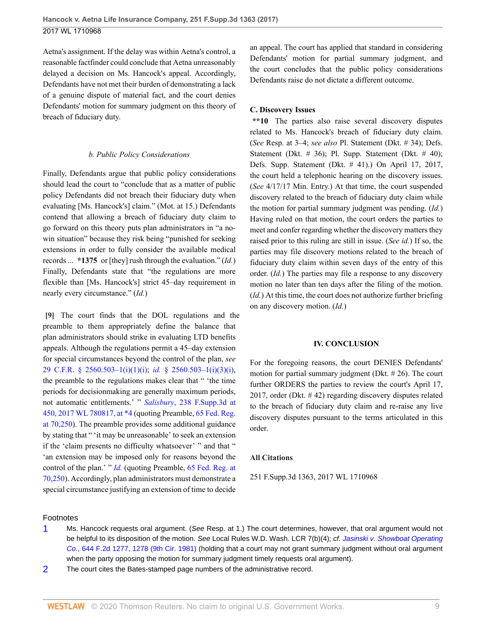Aetna's assignment. If the delay was within Aetna's control, a reasonable factfinder could conclude that Aetna unreasonably delayed a decision on Ms. Hancock's appeal. Accordingly, Defendants have not met their burden of demonstrating a lack of a genuine dispute of material fact, and the court denies Defendants' motion for summary judgment on this theory of breach of fiduciary duty.

#### *b. Public Policy Considerations*

Finally, Defendants argue that public policy considerations should lead the court to "conclude that as a matter of public policy Defendants did not breach their fiduciary duty when evaluating [Ms. Hancock's] claim." (Mot. at 15.) Defendants contend that allowing a breach of fiduciary duty claim to go forward on this theory puts plan administrators in "a nowin situation" because they risk being "punished for seeking extensions in order to fully consider the available medical records ... **\*1375** or [they] rush through the evaluation." (*Id.*) Finally, Defendants state that "the regulations are more flexible than [Ms. Hancock's] strict 45–day requirement in nearly every circumstance." (*Id.*)

<span id="page-8-0"></span>**[\[9\]](#page-1-3)** The court finds that the DOL regulations and the preamble to them appropriately define the balance that plan administrators should strike in evaluating LTD benefits appeals. Although the regulations permit a 45–day extension for special circumstances beyond the control of the plan, *see* [29 C.F.R. § 2560.503–1\(i\)\(1\)\(i\);](http://www.westlaw.com/Link/Document/FullText?findType=L&pubNum=1000547&cite=29CFRS2560.503-1&originatingDoc=I755ce07030be11e79de0d9b9354e8e59&refType=RB&originationContext=document&vr=3.0&rs=cblt1.0&transitionType=DocumentItem&contextData=(sc.UserEnteredCitation)#co_pp_bcfd00009f4b2) *id.* [§ 2560.503–1\(i\)\(3\)\(i\)](http://www.westlaw.com/Link/Document/FullText?findType=L&pubNum=1000547&cite=29CFRS2560.503-1&originatingDoc=I755ce07030be11e79de0d9b9354e8e59&refType=RB&originationContext=document&vr=3.0&rs=cblt1.0&transitionType=DocumentItem&contextData=(sc.UserEnteredCitation)#co_pp_d450000087f37), the preamble to the regulations makes clear that " 'the time periods for decisionmaking are generally maximum periods, not automatic entitlements.' " *Salisbury*[, 238 F.Supp.3d at](http://www.westlaw.com/Link/Document/FullText?findType=Y&serNum=2041132511&pubNum=0000999&originatingDoc=I755ce07030be11e79de0d9b9354e8e59&refType=RP&originationContext=document&vr=3.0&rs=cblt1.0&transitionType=DocumentItem&contextData=(sc.UserEnteredCitation)) [450, 2017 WL 780817, at \\*4](http://www.westlaw.com/Link/Document/FullText?findType=Y&serNum=2041132511&pubNum=0000999&originatingDoc=I755ce07030be11e79de0d9b9354e8e59&refType=RP&originationContext=document&vr=3.0&rs=cblt1.0&transitionType=DocumentItem&contextData=(sc.UserEnteredCitation)) (quoting Preamble, [65 Fed. Reg.](http://www.westlaw.com/Link/Document/FullText?findType=l&pubNum=0001037&cite=UUID(IB3A832802FBD11DAAE9ABB7EB80F7B3D)&originatingDoc=I755ce07030be11e79de0d9b9354e8e59&refType=CP&fi=co_pp_sp_1037_70&originationContext=document&vr=3.0&rs=cblt1.0&transitionType=DocumentItem&contextData=(sc.UserEnteredCitation)#co_pp_sp_1037_70) [at 70,250](http://www.westlaw.com/Link/Document/FullText?findType=l&pubNum=0001037&cite=UUID(IB3A832802FBD11DAAE9ABB7EB80F7B3D)&originatingDoc=I755ce07030be11e79de0d9b9354e8e59&refType=CP&fi=co_pp_sp_1037_70&originationContext=document&vr=3.0&rs=cblt1.0&transitionType=DocumentItem&contextData=(sc.UserEnteredCitation)#co_pp_sp_1037_70)). The preamble provides some additional guidance by stating that " 'it may be unreasonable' to seek an extension if the 'claim presents no difficulty whatsoever' " and that " 'an extension may be imposed only for reasons beyond the control of the plan.' " *[Id.](http://www.westlaw.com/Link/Document/FullText?findType=Y&serNum=2041132511&pubNum=0001037&originatingDoc=I755ce07030be11e79de0d9b9354e8e59&refType=RP&originationContext=document&vr=3.0&rs=cblt1.0&transitionType=DocumentItem&contextData=(sc.UserEnteredCitation))* (quoting Preamble, [65 Fed. Reg. at](http://www.westlaw.com/Link/Document/FullText?findType=l&pubNum=0001037&cite=UUID(IB3A832802FBD11DAAE9ABB7EB80F7B3D)&originatingDoc=I755ce07030be11e79de0d9b9354e8e59&refType=CP&fi=co_pp_sp_1037_70&originationContext=document&vr=3.0&rs=cblt1.0&transitionType=DocumentItem&contextData=(sc.UserEnteredCitation)#co_pp_sp_1037_70) [70,250\)](http://www.westlaw.com/Link/Document/FullText?findType=l&pubNum=0001037&cite=UUID(IB3A832802FBD11DAAE9ABB7EB80F7B3D)&originatingDoc=I755ce07030be11e79de0d9b9354e8e59&refType=CP&fi=co_pp_sp_1037_70&originationContext=document&vr=3.0&rs=cblt1.0&transitionType=DocumentItem&contextData=(sc.UserEnteredCitation)#co_pp_sp_1037_70). Accordingly, plan administrators must demonstrate a special circumstance justifying an extension of time to decide

an appeal. The court has applied that standard in considering Defendants' motion for partial summary judgment, and the court concludes that the public policy considerations Defendants raise do not dictate a different outcome.

### **C. Discovery Issues**

**\*\*10** The parties also raise several discovery disputes related to Ms. Hancock's breach of fiduciary duty claim. (*See* Resp. at 3–4; *see also* Pl. Statement (Dkt. # 34); Defs. Statement (Dkt.  $# 36$ ); Pl. Supp. Statement (Dkt.  $# 40$ ); Defs. Supp. Statement (Dkt. # 41).) On April 17, 2017, the court held a telephonic hearing on the discovery issues. (*See* 4/17/17 Min. Entry.) At that time, the court suspended discovery related to the breach of fiduciary duty claim while the motion for partial summary judgment was pending. (*Id.*) Having ruled on that motion, the court orders the parties to meet and confer regarding whether the discovery matters they raised prior to this ruling are still in issue. (*See id.*) If so, the parties may file discovery motions related to the breach of fiduciary duty claim within seven days of the entry of this order. (*Id.*) The parties may file a response to any discovery motion no later than ten days after the filing of the motion. (*Id.*) At this time, the court does not authorize further briefing on any discovery motion. (*Id.*)

### **IV. CONCLUSION**

For the foregoing reasons, the court DENIES Defendants' motion for partial summary judgment (Dkt. # 26). The court further ORDERS the parties to review the court's April 17, 2017, order (Dkt. # 42) regarding discovery disputes related to the breach of fiduciary duty claim and re-raise any live discovery disputes pursuant to the terms articulated in this order.

### **All Citations**

251 F.Supp.3d 1363, 2017 WL 1710968

### Footnotes

<span id="page-8-1"></span>[1](#page-1-4) Ms. Hancock requests oral argument. (See Resp. at 1.) The court determines, however, that oral argument would not be helpful to its disposition of the motion. See Local Rules W.D. Wash. LCR 7(b)(4); cf. [Jasinski v. Showboat Operating](http://www.westlaw.com/Link/Document/FullText?findType=Y&serNum=1981100777&pubNum=0000350&originatingDoc=I755ce07030be11e79de0d9b9354e8e59&refType=RP&fi=co_pp_sp_350_1278&originationContext=document&vr=3.0&rs=cblt1.0&transitionType=DocumentItem&contextData=(sc.UserEnteredCitation)#co_pp_sp_350_1278) Co.[, 644 F.2d 1277, 1278 \(9th Cir. 1981\)](http://www.westlaw.com/Link/Document/FullText?findType=Y&serNum=1981100777&pubNum=0000350&originatingDoc=I755ce07030be11e79de0d9b9354e8e59&refType=RP&fi=co_pp_sp_350_1278&originationContext=document&vr=3.0&rs=cblt1.0&transitionType=DocumentItem&contextData=(sc.UserEnteredCitation)#co_pp_sp_350_1278) (holding that a court may not grant summary judgment without oral argument when the party opposing the motion for summary judgment timely requests oral argument).

<span id="page-8-2"></span>[2](#page-2-0) The court cites the Bates-stamped page numbers of the administrative record.